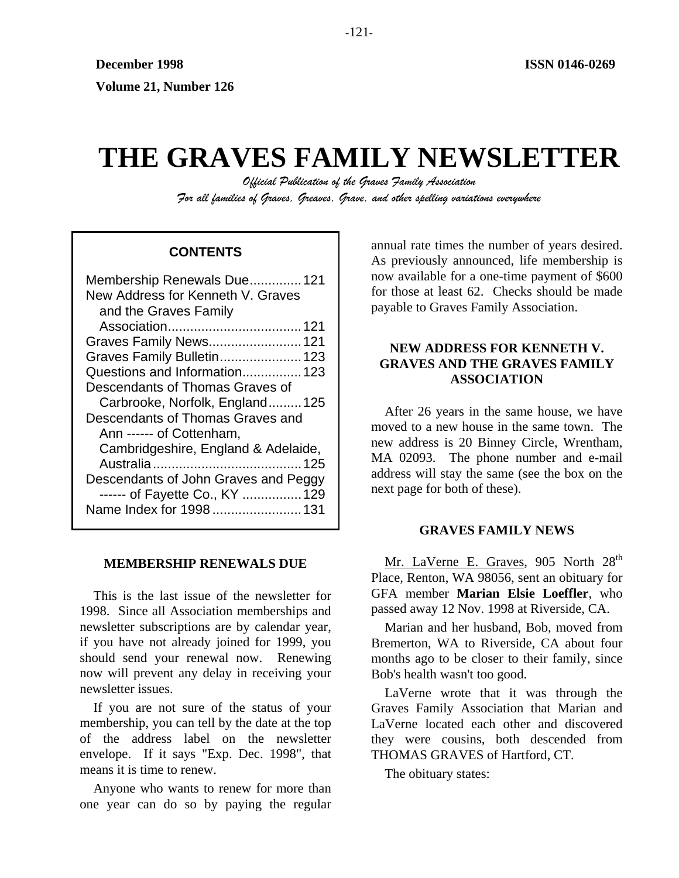# **THE GRAVES FAMILY NEWSLETTER**

*Official Publication of the Graves Family Association For all families of Graves, Greaves, Grave, and other spelling variations everywhere* 

# **CONTENTS**

| Membership Renewals Due 121          |
|--------------------------------------|
| New Address for Kenneth V. Graves    |
| and the Graves Family                |
|                                      |
| Graves Family News 121               |
| Graves Family Bulletin 123           |
| Questions and Information 123        |
| Descendants of Thomas Graves of      |
| Carbrooke, Norfolk, England125       |
| Descendants of Thomas Graves and     |
| Ann ------ of Cottenham,             |
| Cambridgeshire, England & Adelaide,  |
|                                      |
| Descendants of John Graves and Peggy |
| ------ of Fayette Co., KY  129       |
| Name Index for 1998 131              |
|                                      |

## **MEMBERSHIP RENEWALS DUE**

This is the last issue of the newsletter for 1998. Since all Association memberships and newsletter subscriptions are by calendar year, if you have not already joined for 1999, you should send your renewal now. Renewing now will prevent any delay in receiving your newsletter issues.

If you are not sure of the status of your membership, you can tell by the date at the top of the address label on the newsletter envelope. If it says "Exp. Dec. 1998", that means it is time to renew.

Anyone who wants to renew for more than one year can do so by paying the regular annual rate times the number of years desired. As previously announced, life membership is now available for a one-time payment of \$600 for those at least 62. Checks should be made payable to Graves Family Association.

# **NEW ADDRESS FOR KENNETH V. GRAVES AND THE GRAVES FAMILY ASSOCIATION**

After 26 years in the same house, we have moved to a new house in the same town. The new address is 20 Binney Circle, Wrentham, MA 02093. The phone number and e-mail address will stay the same (see the box on the next page for both of these).

## **GRAVES FAMILY NEWS**

Mr. LaVerne E. Graves, 905 North 28<sup>th</sup> Place, Renton, WA 98056, sent an obituary for GFA member **Marian Elsie Loeffler**, who passed away 12 Nov. 1998 at Riverside, CA.

Marian and her husband, Bob, moved from Bremerton, WA to Riverside, CA about four months ago to be closer to their family, since Bob's health wasn't too good.

LaVerne wrote that it was through the Graves Family Association that Marian and LaVerne located each other and discovered they were cousins, both descended from THOMAS GRAVES of Hartford, CT.

The obituary states:

-121-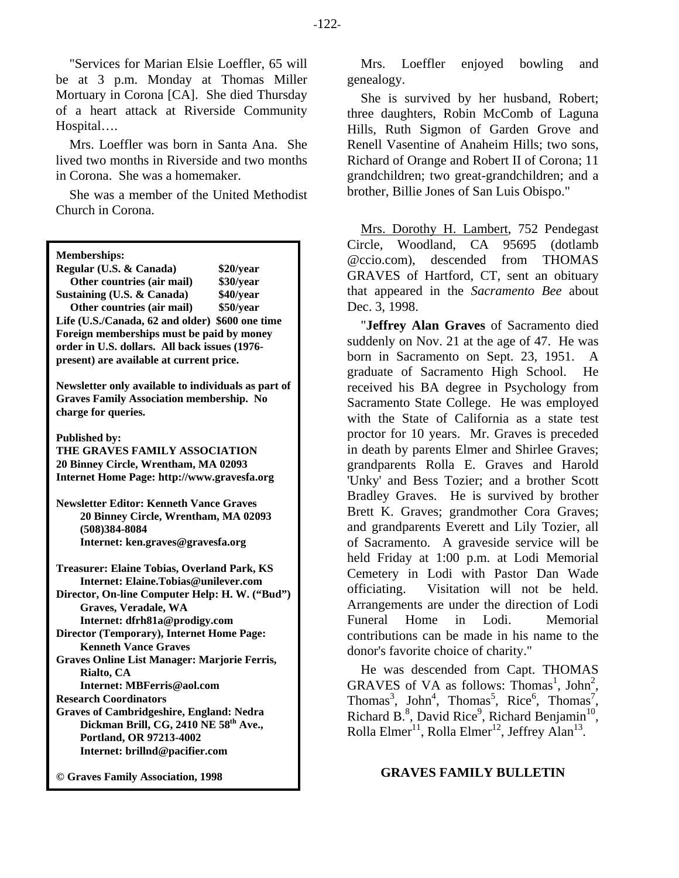"Services for Marian Elsie Loeffler, 65 will be at 3 p.m. Monday at Thomas Miller Mortuary in Corona [CA]. She died Thursday of a heart attack at Riverside Community Hospital….

Mrs. Loeffler was born in Santa Ana. She lived two months in Riverside and two months in Corona. She was a homemaker.

She was a member of the United Methodist Church in Corona.

| <b>Memberships:</b> |  |
|---------------------|--|
|                     |  |

| Regular (U.S. & Canada)                         | \$20/year |  |  |  |  |
|-------------------------------------------------|-----------|--|--|--|--|
| Other countries (air mail)                      | \$30/year |  |  |  |  |
| Sustaining (U.S. & Canada)                      | \$40/year |  |  |  |  |
| Other countries (air mail)                      | \$50/year |  |  |  |  |
| Life (U.S./Canada, 62 and older) \$600 one time |           |  |  |  |  |
| Foreign memberships must be paid by money       |           |  |  |  |  |
| order in U.S. dollars. All back issues (1976-   |           |  |  |  |  |
| present) are available at current price.        |           |  |  |  |  |
|                                                 |           |  |  |  |  |

**Newsletter only available to individuals as part of Graves Family Association membership. No charge for queries.** 

**Published by:** 

**THE GRAVES FAMILY ASSOCIATION 20 Binney Circle, Wrentham, MA 02093 Internet Home Page: http://www.gravesfa.org** 

**Newsletter Editor: Kenneth Vance Graves 20 Binney Circle, Wrentham, MA 02093 (508)384-8084 Internet: ken.graves@gravesfa.org** 

**Treasurer: Elaine Tobias, Overland Park, KS Internet: Elaine.Tobias@unilever.com Director, On-line Computer Help: H. W. ("Bud") Graves, Veradale, WA Internet: dfrh81a@prodigy.com Director (Temporary), Internet Home Page:** 

 **Kenneth Vance Graves** 

**Graves Online List Manager: Marjorie Ferris, Rialto, CA** 

 **Internet: MBFerris@aol.com** 

**Research Coordinators Graves of Cambridgeshire, England: Nedra Dickman Brill, CG, 2410 NE 58th Ave., Portland, OR 97213-4002 Internet: brillnd@pacifier.com** 

**© Graves Family Association, 1998**

Mrs. Loeffler enjoyed bowling and genealogy.

She is survived by her husband, Robert; three daughters, Robin McComb of Laguna Hills, Ruth Sigmon of Garden Grove and Renell Vasentine of Anaheim Hills; two sons, Richard of Orange and Robert II of Corona; 11 grandchildren; two great-grandchildren; and a brother, Billie Jones of San Luis Obispo."

Mrs. Dorothy H. Lambert, 752 Pendegast Circle, Woodland, CA 95695 (dotlamb @ccio.com), descended from THOMAS GRAVES of Hartford, CT, sent an obituary that appeared in the *Sacramento Bee* about Dec. 3, 1998.

"**Jeffrey Alan Graves** of Sacramento died suddenly on Nov. 21 at the age of 47. He was born in Sacramento on Sept. 23, 1951. A graduate of Sacramento High School. He received his BA degree in Psychology from Sacramento State College. He was employed with the State of California as a state test proctor for 10 years. Mr. Graves is preceded in death by parents Elmer and Shirlee Graves; grandparents Rolla E. Graves and Harold 'Unky' and Bess Tozier; and a brother Scott Bradley Graves. He is survived by brother Brett K. Graves; grandmother Cora Graves; and grandparents Everett and Lily Tozier, all of Sacramento. A graveside service will be held Friday at 1:00 p.m. at Lodi Memorial Cemetery in Lodi with Pastor Dan Wade officiating. Visitation will not be held. Arrangements are under the direction of Lodi Funeral Home in Lodi. Memorial contributions can be made in his name to the donor's favorite choice of charity."

He was descended from Capt. THOMAS GRAVES of VA as follows: Thomas<sup>1</sup>, John<sup>2</sup>, Thomas<sup>3</sup>, John<sup>4</sup>, Thomas<sup>5</sup>, Rice<sup>6</sup>, Thomas<sup>7</sup>, Richard B.<sup>8</sup>, David Rice<sup>9</sup>, Richard Benjamin<sup>10</sup>, Rolla Elmer<sup>11</sup>, Rolla Elmer<sup>12</sup>, Jeffrey Alan<sup>13</sup>.

#### **GRAVES FAMILY BULLETIN**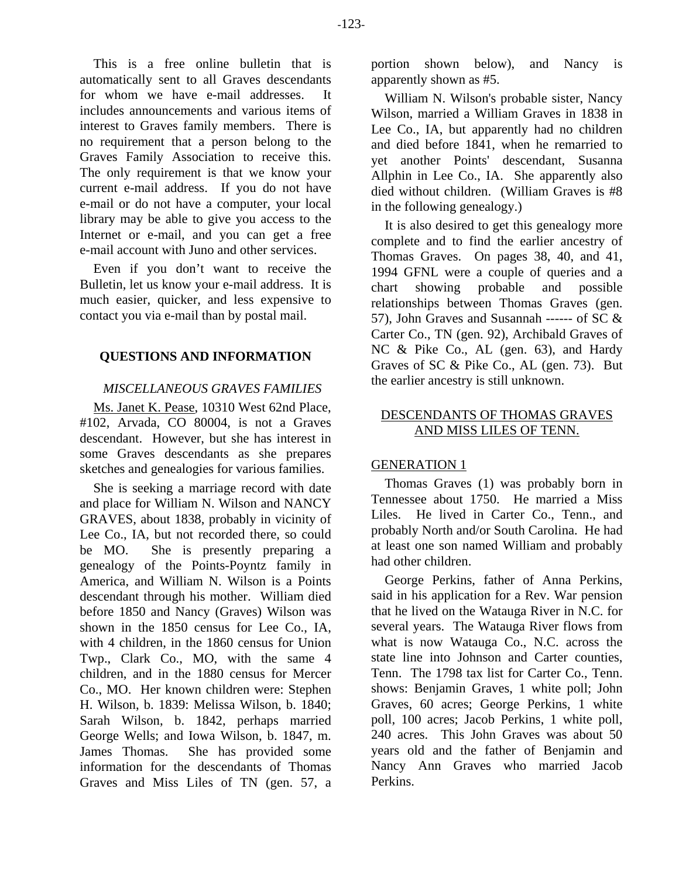This is a free online bulletin that is automatically sent to all Graves descendants for whom we have e-mail addresses. It includes announcements and various items of interest to Graves family members. There is no requirement that a person belong to the Graves Family Association to receive this. The only requirement is that we know your current e-mail address. If you do not have e-mail or do not have a computer, your local library may be able to give you access to the Internet or e-mail, and you can get a free e-mail account with Juno and other services.

Even if you don't want to receive the Bulletin, let us know your e-mail address. It is much easier, quicker, and less expensive to contact you via e-mail than by postal mail.

# **QUESTIONS AND INFORMATION**

## *MISCELLANEOUS GRAVES FAMILIES*

Ms. Janet K. Pease, 10310 West 62nd Place, #102, Arvada, CO 80004, is not a Graves descendant. However, but she has interest in some Graves descendants as she prepares sketches and genealogies for various families.

She is seeking a marriage record with date and place for William N. Wilson and NANCY GRAVES, about 1838, probably in vicinity of Lee Co., IA, but not recorded there, so could be MO. She is presently preparing a genealogy of the Points-Poyntz family in America, and William N. Wilson is a Points descendant through his mother. William died before 1850 and Nancy (Graves) Wilson was shown in the 1850 census for Lee Co., IA, with 4 children, in the 1860 census for Union Twp., Clark Co., MO, with the same 4 children, and in the 1880 census for Mercer Co., MO. Her known children were: Stephen H. Wilson, b. 1839: Melissa Wilson, b. 1840; Sarah Wilson, b. 1842, perhaps married George Wells; and Iowa Wilson, b. 1847, m. James Thomas. She has provided some information for the descendants of Thomas Graves and Miss Liles of TN (gen. 57, a portion shown below), and Nancy is apparently shown as #5.

William N. Wilson's probable sister, Nancy Wilson, married a William Graves in 1838 in Lee Co., IA, but apparently had no children and died before 1841, when he remarried to yet another Points' descendant, Susanna Allphin in Lee Co., IA. She apparently also died without children. (William Graves is #8 in the following genealogy.)

It is also desired to get this genealogy more complete and to find the earlier ancestry of Thomas Graves. On pages 38, 40, and 41, 1994 GFNL were a couple of queries and a chart showing probable and possible relationships between Thomas Graves (gen. 57), John Graves and Susannah ------ of SC  $\&$ Carter Co., TN (gen. 92), Archibald Graves of NC & Pike Co., AL (gen. 63), and Hardy Graves of SC & Pike Co., AL (gen. 73). But the earlier ancestry is still unknown.

# DESCENDANTS OF THOMAS GRAVES AND MISS LILES OF TENN.

## GENERATION 1

Thomas Graves (1) was probably born in Tennessee about 1750. He married a Miss Liles. He lived in Carter Co., Tenn., and probably North and/or South Carolina. He had at least one son named William and probably had other children.

George Perkins, father of Anna Perkins, said in his application for a Rev. War pension that he lived on the Watauga River in N.C. for several years. The Watauga River flows from what is now Watauga Co., N.C. across the state line into Johnson and Carter counties, Tenn. The 1798 tax list for Carter Co., Tenn. shows: Benjamin Graves, 1 white poll; John Graves, 60 acres; George Perkins, 1 white poll, 100 acres; Jacob Perkins, 1 white poll, 240 acres. This John Graves was about 50 years old and the father of Benjamin and Nancy Ann Graves who married Jacob Perkins.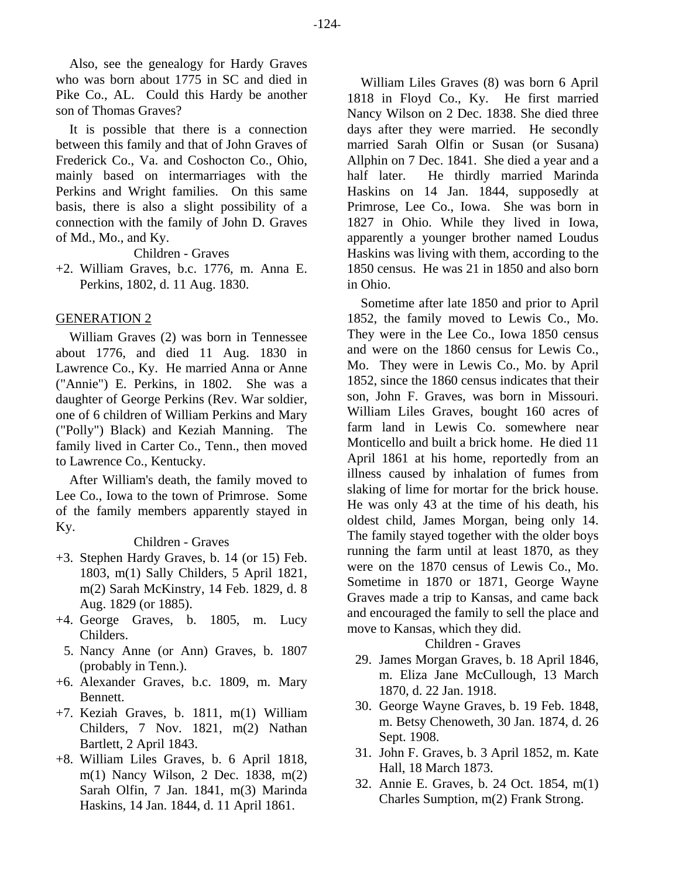Also, see the genealogy for Hardy Graves who was born about 1775 in SC and died in Pike Co., AL. Could this Hardy be another son of Thomas Graves?

It is possible that there is a connection between this family and that of John Graves of Frederick Co., Va. and Coshocton Co., Ohio, mainly based on intermarriages with the Perkins and Wright families. On this same basis, there is also a slight possibility of a connection with the family of John D. Graves of Md., Mo., and Ky.

Children - Graves

+2. William Graves, b.c. 1776, m. Anna E. Perkins, 1802, d. 11 Aug. 1830.

## GENERATION 2

William Graves (2) was born in Tennessee about 1776, and died 11 Aug. 1830 in Lawrence Co., Ky. He married Anna or Anne ("Annie") E. Perkins, in 1802. She was a daughter of George Perkins (Rev. War soldier, one of 6 children of William Perkins and Mary ("Polly") Black) and Keziah Manning. The family lived in Carter Co., Tenn., then moved to Lawrence Co., Kentucky.

After William's death, the family moved to Lee Co., Iowa to the town of Primrose. Some of the family members apparently stayed in Ky.

## Children - Graves

- +3. Stephen Hardy Graves, b. 14 (or 15) Feb. 1803, m(1) Sally Childers, 5 April 1821, m(2) Sarah McKinstry, 14 Feb. 1829, d. 8 Aug. 1829 (or 1885).
- +4. George Graves, b. 1805, m. Lucy Childers.
- 5. Nancy Anne (or Ann) Graves, b. 1807 (probably in Tenn.).
- +6. Alexander Graves, b.c. 1809, m. Mary Bennett.
- +7. Keziah Graves, b. 1811, m(1) William Childers, 7 Nov. 1821, m(2) Nathan Bartlett, 2 April 1843.
- +8. William Liles Graves, b. 6 April 1818, m(1) Nancy Wilson, 2 Dec. 1838, m(2) Sarah Olfin, 7 Jan. 1841, m(3) Marinda Haskins, 14 Jan. 1844, d. 11 April 1861.

William Liles Graves (8) was born 6 April 1818 in Floyd Co., Ky. He first married Nancy Wilson on 2 Dec. 1838. She died three days after they were married. He secondly married Sarah Olfin or Susan (or Susana) Allphin on 7 Dec. 1841. She died a year and a half later. He thirdly married Marinda Haskins on 14 Jan. 1844, supposedly at Primrose, Lee Co., Iowa. She was born in 1827 in Ohio. While they lived in Iowa, apparently a younger brother named Loudus Haskins was living with them, according to the 1850 census. He was 21 in 1850 and also born in Ohio.

Sometime after late 1850 and prior to April 1852, the family moved to Lewis Co., Mo. They were in the Lee Co., Iowa 1850 census and were on the 1860 census for Lewis Co., Mo. They were in Lewis Co., Mo. by April 1852, since the 1860 census indicates that their son, John F. Graves, was born in Missouri. William Liles Graves, bought 160 acres of farm land in Lewis Co. somewhere near Monticello and built a brick home. He died 11 April 1861 at his home, reportedly from an illness caused by inhalation of fumes from slaking of lime for mortar for the brick house. He was only 43 at the time of his death, his oldest child, James Morgan, being only 14. The family stayed together with the older boys running the farm until at least 1870, as they were on the 1870 census of Lewis Co., Mo. Sometime in 1870 or 1871, George Wayne Graves made a trip to Kansas, and came back and encouraged the family to sell the place and move to Kansas, which they did.

## Children - Graves

- 29. James Morgan Graves, b. 18 April 1846, m. Eliza Jane McCullough, 13 March 1870, d. 22 Jan. 1918.
- 30. George Wayne Graves, b. 19 Feb. 1848, m. Betsy Chenoweth, 30 Jan. 1874, d. 26 Sept. 1908.
- 31. John F. Graves, b. 3 April 1852, m. Kate Hall, 18 March 1873.
- 32. Annie E. Graves, b. 24 Oct. 1854, m(1) Charles Sumption, m(2) Frank Strong.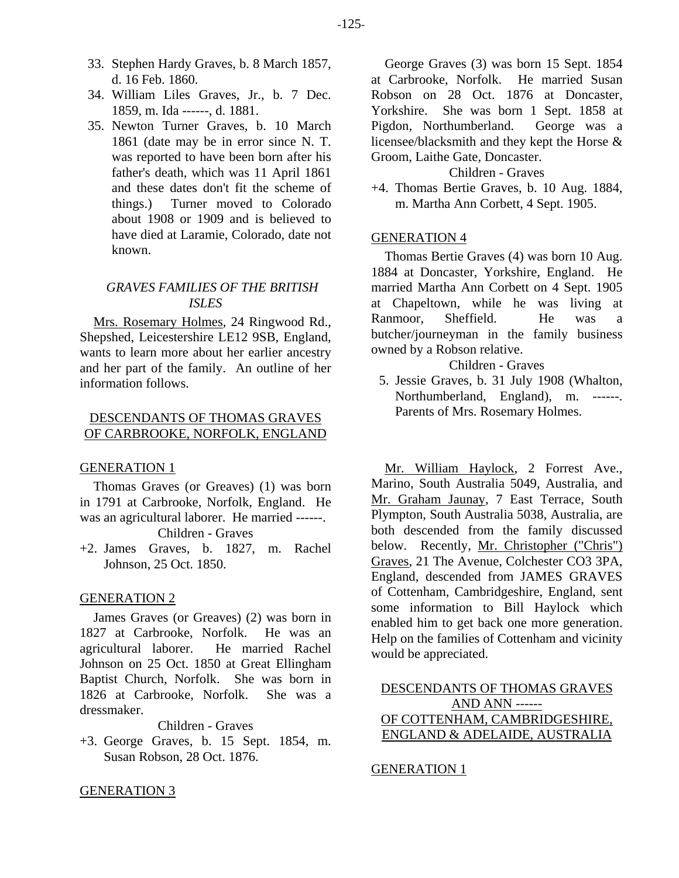- 33. Stephen Hardy Graves, b. 8 March 1857, d. 16 Feb. 1860.
- 34. William Liles Graves, Jr., b. 7 Dec. 1859, m. Ida ------, d. 1881.
- 35. Newton Turner Graves, b. 10 March 1861 (date may be in error since N. T. was reported to have been born after his father's death, which was 11 April 1861 and these dates don't fit the scheme of things.) Turner moved to Colorado about 1908 or 1909 and is believed to have died at Laramie, Colorado, date not known.

## *GRAVES FAMILIES OF THE BRITISH ISLES*

Mrs. Rosemary Holmes, 24 Ringwood Rd., Shepshed, Leicestershire LE12 9SB, England, wants to learn more about her earlier ancestry and her part of the family. An outline of her information follows.

## DESCENDANTS OF THOMAS GRAVES OF CARBROOKE, NORFOLK, ENGLAND

#### GENERATION 1

Thomas Graves (or Greaves) (1) was born in 1791 at Carbrooke, Norfolk, England. He was an agricultural laborer. He married ------. Children - Graves

+2. James Graves, b. 1827, m. Rachel Johnson, 25 Oct. 1850.

## GENERATION 2

James Graves (or Greaves) (2) was born in 1827 at Carbrooke, Norfolk. He was an agricultural laborer. He married Rachel Johnson on 25 Oct. 1850 at Great Ellingham Baptist Church, Norfolk. She was born in 1826 at Carbrooke, Norfolk. She was a dressmaker.

Children - Graves

+3. George Graves, b. 15 Sept. 1854, m. Susan Robson, 28 Oct. 1876.

George Graves (3) was born 15 Sept. 1854 at Carbrooke, Norfolk. He married Susan Robson on 28 Oct. 1876 at Doncaster, Yorkshire. She was born 1 Sept. 1858 at Pigdon, Northumberland. George was a licensee/blacksmith and they kept the Horse & Groom, Laithe Gate, Doncaster.

### Children - Graves

+4. Thomas Bertie Graves, b. 10 Aug. 1884, m. Martha Ann Corbett, 4 Sept. 1905.

#### GENERATION 4

Thomas Bertie Graves (4) was born 10 Aug. 1884 at Doncaster, Yorkshire, England. He married Martha Ann Corbett on 4 Sept. 1905 at Chapeltown, while he was living at Ranmoor, Sheffield. He was a butcher/journeyman in the family business owned by a Robson relative.

#### Children - Graves

 5. Jessie Graves, b. 31 July 1908 (Whalton, Northumberland, England), m. ------. Parents of Mrs. Rosemary Holmes.

Mr. William Haylock, 2 Forrest Ave., Marino, South Australia 5049, Australia, and Mr. Graham Jaunay, 7 East Terrace, South Plympton, South Australia 5038, Australia, are both descended from the family discussed below. Recently, Mr. Christopher ("Chris") Graves, 21 The Avenue, Colchester CO3 3PA, England, descended from JAMES GRAVES of Cottenham, Cambridgeshire, England, sent some information to Bill Haylock which enabled him to get back one more generation. Help on the families of Cottenham and vicinity would be appreciated.

# DESCENDANTS OF THOMAS GRAVES AND ANN ------ OF COTTENHAM, CAMBRIDGESHIRE, ENGLAND & ADELAIDE, AUSTRALIA

#### GENERATION 1

## GENERATION 3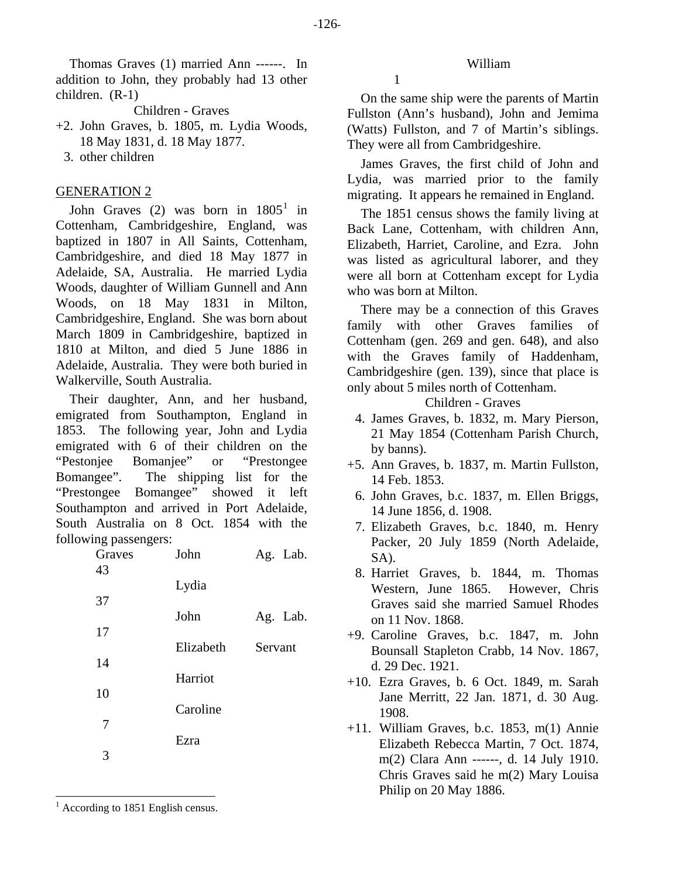Thomas Graves (1) married Ann ------. In addition to John, they probably had 13 other children. (R-1)

Children - Graves

- +2. John Graves, b. 1805, m. Lydia Woods, 18 May 1831, d. 18 May 1877.
	- 3. other children

## GENERATION 2

John Graves  $(2)$  was born in  $1805<sup>1</sup>$  $1805<sup>1</sup>$  in Cottenham, Cambridgeshire, England, was baptized in 1807 in All Saints, Cottenham, Cambridgeshire, and died 18 May 1877 in Adelaide, SA, Australia. He married Lydia Woods, daughter of William Gunnell and Ann Woods, on 18 May 1831 in Milton, Cambridgeshire, England. She was born about March 1809 in Cambridgeshire, baptized in 1810 at Milton, and died 5 June 1886 in Adelaide, Australia. They were both buried in Walkerville, South Australia.

Their daughter, Ann, and her husband, emigrated from Southampton, England in 1853. The following year, John and Lydia emigrated with 6 of their children on the "Pestonjee Bomanjee" or "Prestongee Bomangee". The shipping list for the "Prestongee Bomangee" showed it left Southampton and arrived in Port Adelaide, South Australia on 8 Oct. 1854 with the following passengers:

| Graves | John      | Ag. Lab. |
|--------|-----------|----------|
| 43     | Lydia     |          |
| 37     | John      | Ag. Lab. |
| 17     | Elizabeth | Servant  |
| 14     | Harriot   |          |
| 10     |           |          |
| 7      | Caroline  |          |
| 3      | Ezra      |          |
|        |           |          |

1

On the same ship were the parents of Martin Fullston (Ann's husband), John and Jemima (Watts) Fullston, and 7 of Martin's siblings. They were all from Cambridgeshire.

William

James Graves, the first child of John and Lydia, was married prior to the family migrating. It appears he remained in England.

The 1851 census shows the family living at Back Lane, Cottenham, with children Ann, Elizabeth, Harriet, Caroline, and Ezra. John was listed as agricultural laborer, and they were all born at Cottenham except for Lydia who was born at Milton.

There may be a connection of this Graves family with other Graves families of Cottenham (gen. 269 and gen. 648), and also with the Graves family of Haddenham, Cambridgeshire (gen. 139), since that place is only about 5 miles north of Cottenham.

Children - Graves

- 4. James Graves, b. 1832, m. Mary Pierson, 21 May 1854 (Cottenham Parish Church, by banns).
- +5. Ann Graves, b. 1837, m. Martin Fullston, 14 Feb. 1853.
	- 6. John Graves, b.c. 1837, m. Ellen Briggs, 14 June 1856, d. 1908.
	- 7. Elizabeth Graves, b.c. 1840, m. Henry Packer, 20 July 1859 (North Adelaide, SA).
	- 8. Harriet Graves, b. 1844, m. Thomas Western, June 1865. However, Chris Graves said she married Samuel Rhodes on 11 Nov. 1868.
- +9. Caroline Graves, b.c. 1847, m. John Bounsall Stapleton Crabb, 14 Nov. 1867, d. 29 Dec. 1921.
- +10. Ezra Graves, b. 6 Oct. 1849, m. Sarah Jane Merritt, 22 Jan. 1871, d. 30 Aug. 1908.
- +11. William Graves, b.c. 1853, m(1) Annie Elizabeth Rebecca Martin, 7 Oct. 1874, m(2) Clara Ann ------, d. 14 July 1910. Chris Graves said he m(2) Mary Louisa Philip on 20 May 1886.

<span id="page-5-0"></span><sup>1</sup> According to 1851 English census.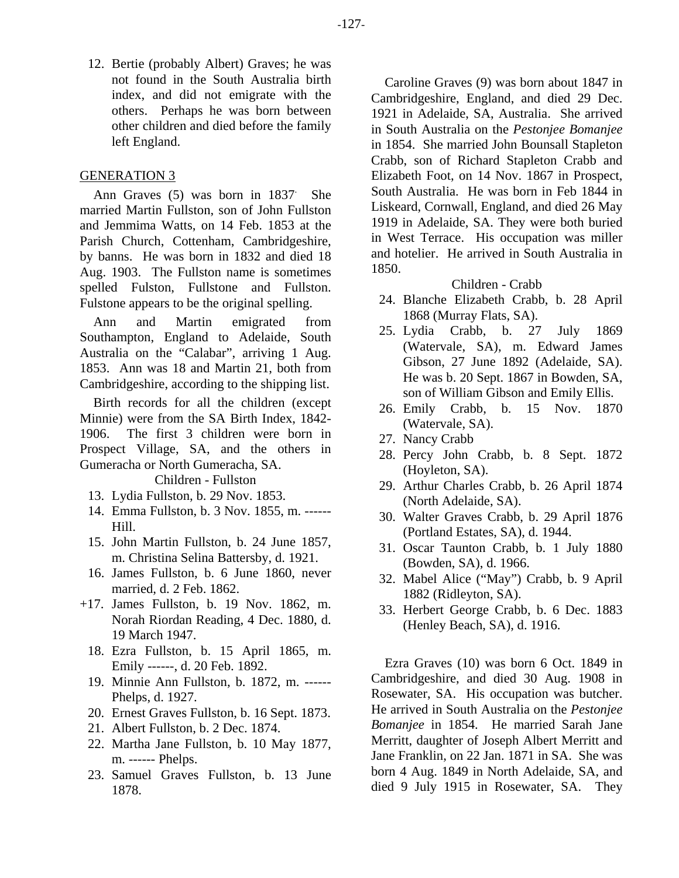12. Bertie (probably Albert) Graves; he was not found in the South Australia birth index, and did not emigrate with the others. Perhaps he was born between other children and died before the family left England.

## GENERATION 3

Ann Graves (5) was born in 1837. She married Martin Fullston, son of John Fullston and Jemmima Watts, on 14 Feb. 1853 at the Parish Church, Cottenham, Cambridgeshire, by banns. He was born in 1832 and died 18 Aug. 1903. The Fullston name is sometimes spelled Fulston, Fullstone and Fullston. Fulstone appears to be the original spelling.

Ann and Martin emigrated from Southampton, England to Adelaide, South Australia on the "Calabar", arriving 1 Aug. 1853. Ann was 18 and Martin 21, both from Cambridgeshire, according to the shipping list.

Birth records for all the children (except Minnie) were from the SA Birth Index, 1842- 1906. The first 3 children were born in Prospect Village, SA, and the others in Gumeracha or North Gumeracha, SA.

Children - Fullston

- 13. Lydia Fullston, b. 29 Nov. 1853.
- 14. Emma Fullston, b. 3 Nov. 1855, m. ------ Hill.
- 15. John Martin Fullston, b. 24 June 1857, m. Christina Selina Battersby, d. 1921.
- 16. James Fullston, b. 6 June 1860, never married, d. 2 Feb. 1862.
- +17. James Fullston, b. 19 Nov. 1862, m. Norah Riordan Reading, 4 Dec. 1880, d. 19 March 1947.
	- 18. Ezra Fullston, b. 15 April 1865, m. Emily ------, d. 20 Feb. 1892.
	- 19. Minnie Ann Fullston, b. 1872, m. ------ Phelps, d. 1927.
	- 20. Ernest Graves Fullston, b. 16 Sept. 1873.
	- 21. Albert Fullston, b. 2 Dec. 1874.
	- 22. Martha Jane Fullston, b. 10 May 1877, m. ------ Phelps.
	- 23. Samuel Graves Fullston, b. 13 June 1878.

Caroline Graves (9) was born about 1847 in Cambridgeshire, England, and died 29 Dec. 1921 in Adelaide, SA, Australia. She arrived in South Australia on the *Pestonjee Bomanjee* in 1854. She married John Bounsall Stapleton Crabb, son of Richard Stapleton Crabb and Elizabeth Foot, on 14 Nov. 1867 in Prospect, South Australia. He was born in Feb 1844 in Liskeard, Cornwall, England, and died 26 May 1919 in Adelaide, SA. They were both buried in West Terrace. His occupation was miller and hotelier. He arrived in South Australia in 1850.

#### Children - Crabb

- 24. Blanche Elizabeth Crabb, b. 28 April 1868 (Murray Flats, SA).
- 25. Lydia Crabb, b. 27 July 1869 (Watervale, SA), m. Edward James Gibson, 27 June 1892 (Adelaide, SA). He was b. 20 Sept. 1867 in Bowden, SA, son of William Gibson and Emily Ellis.
- 26. Emily Crabb, b. 15 Nov. 1870 (Watervale, SA).
- 27. Nancy Crabb
- 28. Percy John Crabb, b. 8 Sept. 1872 (Hoyleton, SA).
- 29. Arthur Charles Crabb, b. 26 April 1874 (North Adelaide, SA).
- 30. Walter Graves Crabb, b. 29 April 1876 (Portland Estates, SA), d. 1944.
- 31. Oscar Taunton Crabb, b. 1 July 1880 (Bowden, SA), d. 1966.
- 32. Mabel Alice ("May") Crabb, b. 9 April 1882 (Ridleyton, SA).
- 33. Herbert George Crabb, b. 6 Dec. 1883 (Henley Beach, SA), d. 1916.

Ezra Graves (10) was born 6 Oct. 1849 in Cambridgeshire, and died 30 Aug. 1908 in Rosewater, SA. His occupation was butcher. He arrived in South Australia on the *Pestonjee Bomanjee* in 1854. He married Sarah Jane Merritt, daughter of Joseph Albert Merritt and Jane Franklin, on 22 Jan. 1871 in SA. She was born 4 Aug. 1849 in North Adelaide, SA, and died 9 July 1915 in Rosewater, SA. They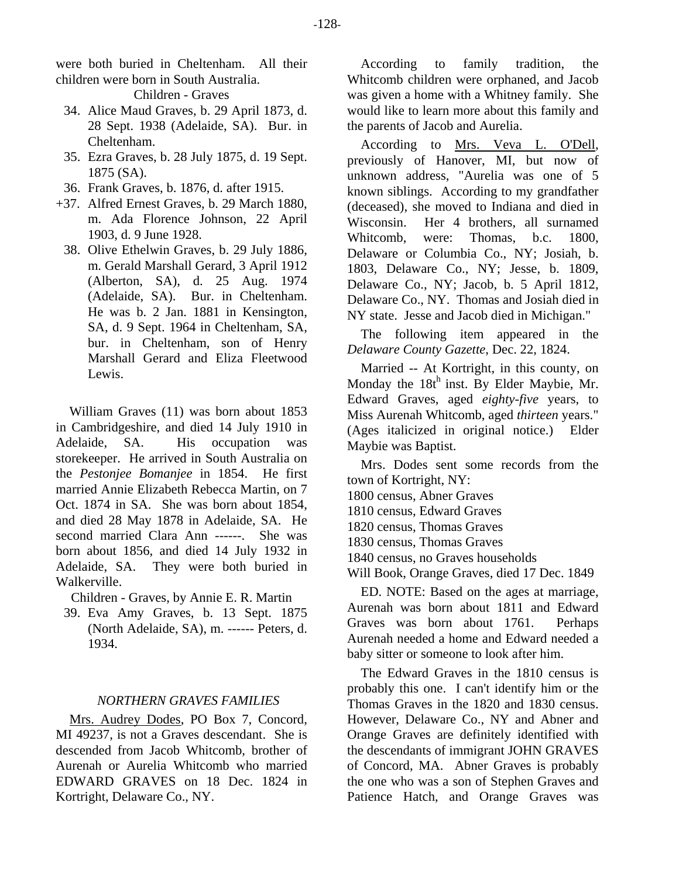were both buried in Cheltenham. All their children were born in South Australia.

Children - Graves

- 34. Alice Maud Graves, b. 29 April 1873, d. 28 Sept. 1938 (Adelaide, SA). Bur. in Cheltenham.
- 35. Ezra Graves, b. 28 July 1875, d. 19 Sept. 1875 (SA).
- 36. Frank Graves, b. 1876, d. after 1915.
- +37. Alfred Ernest Graves, b. 29 March 1880, m. Ada Florence Johnson, 22 April 1903, d. 9 June 1928.
	- 38. Olive Ethelwin Graves, b. 29 July 1886, m. Gerald Marshall Gerard, 3 April 1912 (Alberton, SA), d. 25 Aug. 1974 (Adelaide, SA). Bur. in Cheltenham. He was b. 2 Jan. 1881 in Kensington, SA, d. 9 Sept. 1964 in Cheltenham, SA, bur. in Cheltenham, son of Henry Marshall Gerard and Eliza Fleetwood Lewis.

William Graves (11) was born about 1853 in Cambridgeshire, and died 14 July 1910 in Adelaide, SA. His occupation was storekeeper. He arrived in South Australia on the *Pestonjee Bomanjee* in 1854. He first married Annie Elizabeth Rebecca Martin, on 7 Oct. 1874 in SA. She was born about 1854, and died 28 May 1878 in Adelaide, SA. He second married Clara Ann ------. She was born about 1856, and died 14 July 1932 in Adelaide, SA. They were both buried in Walkerville.

Children - Graves, by Annie E. R. Martin

 39. Eva Amy Graves, b. 13 Sept. 1875 (North Adelaide, SA), m. ------ Peters, d. 1934.

## *NORTHERN GRAVES FAMILIES*

Mrs. Audrey Dodes, PO Box 7, Concord, MI 49237, is not a Graves descendant. She is descended from Jacob Whitcomb, brother of Aurenah or Aurelia Whitcomb who married EDWARD GRAVES on 18 Dec. 1824 in Kortright, Delaware Co., NY.

According to family tradition, the Whitcomb children were orphaned, and Jacob was given a home with a Whitney family. She would like to learn more about this family and the parents of Jacob and Aurelia.

According to Mrs. Veva L. O'Dell, previously of Hanover, MI, but now of unknown address, "Aurelia was one of 5 known siblings. According to my grandfather (deceased), she moved to Indiana and died in Wisconsin. Her 4 brothers, all surnamed Whitcomb, were: Thomas, b.c. 1800, Delaware or Columbia Co., NY; Josiah, b. 1803, Delaware Co., NY; Jesse, b. 1809, Delaware Co., NY; Jacob, b. 5 April 1812, Delaware Co., NY. Thomas and Josiah died in NY state. Jesse and Jacob died in Michigan."

The following item appeared in the *Delaware County Gazette*, Dec. 22, 1824.

Married -- At Kortright, in this county, on Monday the  $18t^h$  inst. By Elder Maybie, Mr. Edward Graves, aged *eighty-five* years, to Miss Aurenah Whitcomb, aged *thirteen* years." (Ages italicized in original notice.) Elder Maybie was Baptist.

Mrs. Dodes sent some records from the town of Kortright, NY:

1800 census, Abner Graves

1810 census, Edward Graves

1820 census, Thomas Graves

1830 census, Thomas Graves

1840 census, no Graves households

Will Book, Orange Graves, died 17 Dec. 1849

ED. NOTE: Based on the ages at marriage, Aurenah was born about 1811 and Edward Graves was born about 1761. Perhaps Aurenah needed a home and Edward needed a baby sitter or someone to look after him.

The Edward Graves in the 1810 census is probably this one. I can't identify him or the Thomas Graves in the 1820 and 1830 census. However, Delaware Co., NY and Abner and Orange Graves are definitely identified with the descendants of immigrant JOHN GRAVES of Concord, MA. Abner Graves is probably the one who was a son of Stephen Graves and Patience Hatch, and Orange Graves was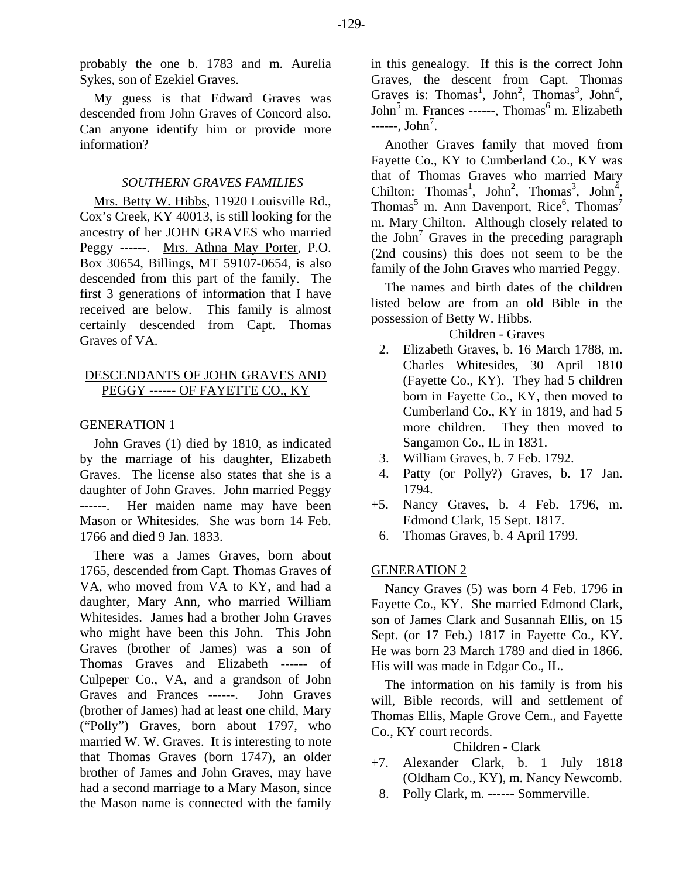probably the one b. 1783 and m. Aurelia Sykes, son of Ezekiel Graves.

My guess is that Edward Graves was descended from John Graves of Concord also. Can anyone identify him or provide more information?

## *SOUTHERN GRAVES FAMILIES*

Mrs. Betty W. Hibbs, 11920 Louisville Rd., Cox's Creek, KY 40013, is still looking for the ancestry of her JOHN GRAVES who married Peggy ------. Mrs. Athna May Porter, P.O. Box 30654, Billings, MT 59107-0654, is also descended from this part of the family. The first 3 generations of information that I have received are below. This family is almost certainly descended from Capt. Thomas Graves of VA.

# DESCENDANTS OF JOHN GRAVES AND PEGGY ------ OF FAYETTE CO., KY

## GENERATION 1

John Graves (1) died by 1810, as indicated by the marriage of his daughter, Elizabeth Graves. The license also states that she is a daughter of John Graves. John married Peggy ------. Her maiden name may have been Mason or Whitesides. She was born 14 Feb. 1766 and died 9 Jan. 1833.

There was a James Graves, born about 1765, descended from Capt. Thomas Graves of VA, who moved from VA to KY, and had a daughter, Mary Ann, who married William Whitesides. James had a brother John Graves who might have been this John. This John Graves (brother of James) was a son of Thomas Graves and Elizabeth ------ of Culpeper Co., VA, and a grandson of John Graves and Frances ------. John Graves (brother of James) had at least one child, Mary ("Polly") Graves, born about 1797, who married W. W. Graves. It is interesting to note that Thomas Graves (born 1747), an older brother of James and John Graves, may have had a second marriage to a Mary Mason, since the Mason name is connected with the family in this genealogy. If this is the correct John Graves, the descent from Capt. Thomas Graves is: Thomas<sup>1</sup>, John<sup>2</sup>, Thomas<sup>3</sup>, John<sup>4</sup>, John<sup>5</sup> m. Frances ------, Thomas<sup>6</sup> m. Elizabeth  $---, John<sup>7</sup>.$ 

Another Graves family that moved from Fayette Co., KY to Cumberland Co., KY was that of Thomas Graves who married Mary Chilton: Thomas<sup>1</sup>, John<sup>2</sup>, Thomas<sup>3</sup>, John<sup>4</sup>, Thomas<sup>5</sup> m. Ann Davenport, Rice<sup>6</sup>, Thomas<sup>7</sup> m. Mary Chilton. Although closely related to the John<sup>7</sup> Graves in the preceding paragraph (2nd cousins) this does not seem to be the family of the John Graves who married Peggy.

The names and birth dates of the children listed below are from an old Bible in the possession of Betty W. Hibbs.

## Children - Graves

- 2. Elizabeth Graves, b. 16 March 1788, m. Charles Whitesides, 30 April 1810 (Fayette Co., KY). They had 5 children born in Fayette Co., KY, then moved to Cumberland Co., KY in 1819, and had 5 more children. They then moved to Sangamon Co., IL in 1831.
- 3. William Graves, b. 7 Feb. 1792.
- 4. Patty (or Polly?) Graves, b. 17 Jan. 1794.
- +5. Nancy Graves, b. 4 Feb. 1796, m. Edmond Clark, 15 Sept. 1817.
- 6. Thomas Graves, b. 4 April 1799.

## GENERATION 2

Nancy Graves (5) was born 4 Feb. 1796 in Fayette Co., KY. She married Edmond Clark, son of James Clark and Susannah Ellis, on 15 Sept. (or 17 Feb.) 1817 in Fayette Co., KY. He was born 23 March 1789 and died in 1866. His will was made in Edgar Co., IL.

The information on his family is from his will, Bible records, will and settlement of Thomas Ellis, Maple Grove Cem., and Fayette Co., KY court records.

Children - Clark

- +7. Alexander Clark, b. 1 July 1818 (Oldham Co., KY), m. Nancy Newcomb.
- 8. Polly Clark, m. ------ Sommerville.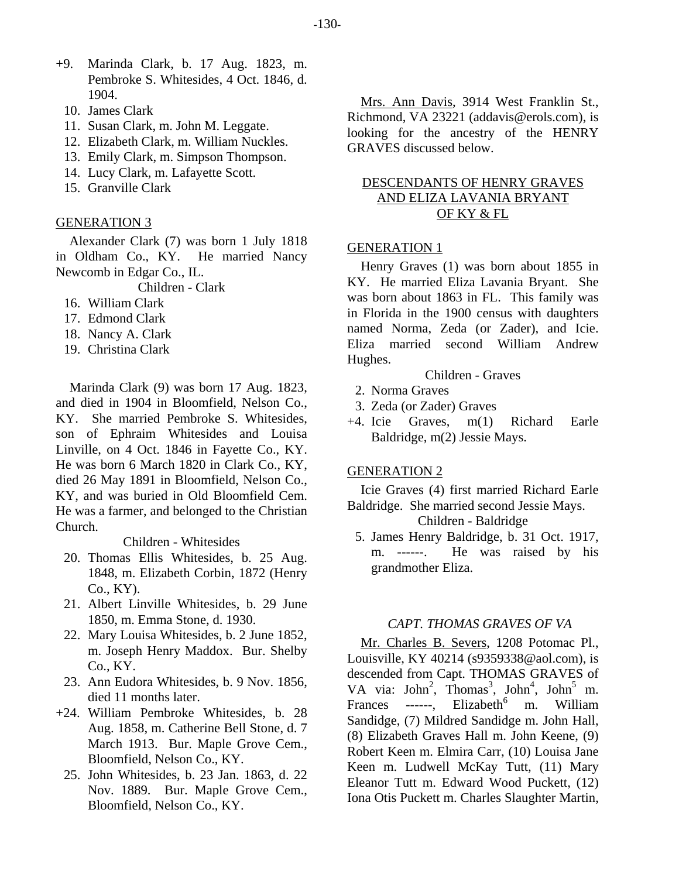- +9. Marinda Clark, b. 17 Aug. 1823, m. Pembroke S. Whitesides, 4 Oct. 1846, d. 1904.
	- 10. James Clark
	- 11. Susan Clark, m. John M. Leggate.
	- 12. Elizabeth Clark, m. William Nuckles.
	- 13. Emily Clark, m. Simpson Thompson.
	- 14. Lucy Clark, m. Lafayette Scott.
	- 15. Granville Clark

#### GENERATION 3

Alexander Clark (7) was born 1 July 1818 in Oldham Co., KY. He married Nancy Newcomb in Edgar Co., IL.

Children - Clark

- 16. William Clark
- 17. Edmond Clark
- 18. Nancy A. Clark
- 19. Christina Clark

Marinda Clark (9) was born 17 Aug. 1823, and died in 1904 in Bloomfield, Nelson Co., KY. She married Pembroke S. Whitesides, son of Ephraim Whitesides and Louisa Linville, on 4 Oct. 1846 in Fayette Co., KY. He was born 6 March 1820 in Clark Co., KY, died 26 May 1891 in Bloomfield, Nelson Co., KY, and was buried in Old Bloomfield Cem. He was a farmer, and belonged to the Christian Church.

Children - Whitesides

- 20. Thomas Ellis Whitesides, b. 25 Aug. 1848, m. Elizabeth Corbin, 1872 (Henry Co., KY).
- 21. Albert Linville Whitesides, b. 29 June 1850, m. Emma Stone, d. 1930.
- 22. Mary Louisa Whitesides, b. 2 June 1852, m. Joseph Henry Maddox. Bur. Shelby Co., KY.
- 23. Ann Eudora Whitesides, b. 9 Nov. 1856, died 11 months later.
- +24. William Pembroke Whitesides, b. 28 Aug. 1858, m. Catherine Bell Stone, d. 7 March 1913. Bur. Maple Grove Cem., Bloomfield, Nelson Co., KY.
	- 25. John Whitesides, b. 23 Jan. 1863, d. 22 Nov. 1889. Bur. Maple Grove Cem., Bloomfield, Nelson Co., KY.

Mrs. Ann Davis, 3914 West Franklin St., Richmond, VA 23221 (addavis@erols.com), is looking for the ancestry of the HENRY GRAVES discussed below.

## DESCENDANTS OF HENRY GRAVES AND ELIZA LAVANIA BRYANT OF KY & FL

#### GENERATION 1

Henry Graves (1) was born about 1855 in KY. He married Eliza Lavania Bryant. She was born about 1863 in FL. This family was in Florida in the 1900 census with daughters named Norma, Zeda (or Zader), and Icie. Eliza married second William Andrew Hughes.

Children - Graves

- 2. Norma Graves
- 3. Zeda (or Zader) Graves
- +4. Icie Graves, m(1) Richard Earle Baldridge, m(2) Jessie Mays.

#### GENERATION 2

Icie Graves (4) first married Richard Earle Baldridge. She married second Jessie Mays. Children - Baldridge

 5. James Henry Baldridge, b. 31 Oct. 1917, m. ------. He was raised by his grandmother Eliza.

## *CAPT. THOMAS GRAVES OF VA*

Mr. Charles B. Severs, 1208 Potomac Pl., Louisville, KY 40214 (s9359338@aol.com), is descended from Capt. THOMAS GRAVES of VA via:  $John^2$ ,  $Thomas^3$ ,  $John^4$ ,  $John^5$  m. Frances ------,  $Elizableth<sup>6</sup>$  m. William Sandidge, (7) Mildred Sandidge m. John Hall, (8) Elizabeth Graves Hall m. John Keene, (9) Robert Keen m. Elmira Carr, (10) Louisa Jane Keen m. Ludwell McKay Tutt, (11) Mary Eleanor Tutt m. Edward Wood Puckett, (12) Iona Otis Puckett m. Charles Slaughter Martin,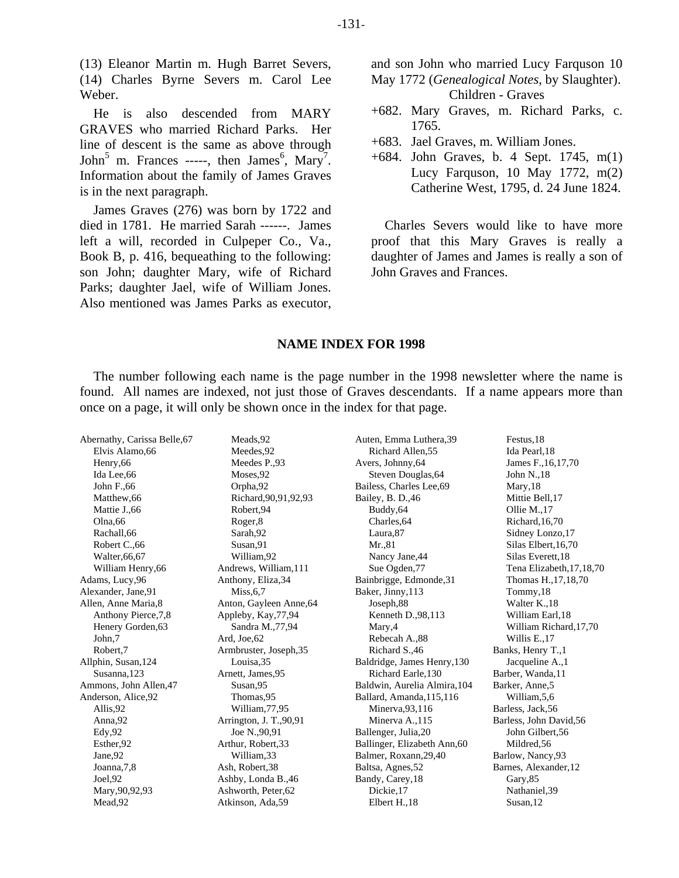(13) Eleanor Martin m. Hugh Barret Severs, (14) Charles Byrne Severs m. Carol Lee Weber.

He is also descended from MARY GRAVES who married Richard Parks. Her line of descent is the same as above through John<sup>5</sup> m. Frances -----, then James<sup>6</sup>, Mary<sup>7</sup>. Information about the family of James Graves is in the next paragraph.

James Graves (276) was born by 1722 and died in 1781. He married Sarah ------. James left a will, recorded in Culpeper Co., Va., Book B, p. 416, bequeathing to the following: son John; daughter Mary, wife of Richard Parks; daughter Jael, wife of William Jones. Also mentioned was James Parks as executor, and son John who married Lucy Farquson 10 May 1772 (*Genealogical Notes*, by Slaughter). Children - Graves

- +682. Mary Graves, m. Richard Parks, c. 1765.
- +683. Jael Graves, m. William Jones.
- +684. John Graves, b. 4 Sept. 1745, m(1) Lucy Farquson, 10 May 1772, m(2) Catherine West, 1795, d. 24 June 1824.

Charles Severs would like to have more proof that this Mary Graves is really a daughter of James and James is really a son of John Graves and Frances.

### **NAME INDEX FOR 1998**

The number following each name is the page number in the 1998 newsletter where the name is found. All names are indexed, not just those of Graves descendants. If a name appears more than once on a page, it will only be shown once in the index for that page.

| Abernathy, Carissa Belle, 67 | Meads, 92                | Auten, Emma Luthera, 39      | Festus, 18                 |
|------------------------------|--------------------------|------------------------------|----------------------------|
| Elvis Alamo, 66              | Meedes, 92               | Richard Allen, 55            | Ida Pearl, 18              |
| Henry, 66                    | Meedes P.,93             | Avers, Johnny, 64            | James F., 16, 17, 70       |
| Ida Lee, 66                  | Moses, 92                | Steven Douglas, 64           | John N., 18                |
| John F.,66                   | Orpha,92                 | Bailess, Charles Lee, 69     | Mary, 18                   |
| Matthew, 66                  | Richard, 90, 91, 92, 93  | Bailey, B. D., 46            | Mittie Bell, 17            |
| Mattie J., 66                | Robert, 94               | Buddy, 64                    | Ollie M., 17               |
| Olna,66                      | Roger,8                  | Charles, 64                  | Richard, 16,70             |
| Rachall, 66                  | Sarah, 92                | Laura, 87                    | Sidney Lonzo, 17           |
| Robert C., 66                | Susan, 91                | Mr.,81                       | Silas Elbert, 16,70        |
| Walter, 66, 67               | William, 92              | Nancy Jane, 44               | Silas Everett, 18          |
| William Henry, 66            | Andrews, William, 111    | Sue Ogden, 77                | Tena Elizabeth, 17, 18, 70 |
| Adams, Lucy, 96              | Anthony, Eliza, 34       | Bainbrigge, Edmonde, 31      | Thomas H., 17, 18, 70      |
| Alexander, Jane, 91          | Miss, 6, 7               | Baker, Jinny, 113            | Tommy, 18                  |
| Allen, Anne Maria, 8         | Anton, Gayleen Anne, 64  | Joseph, 88                   | Walter K., 18              |
| Anthony Pierce, 7,8          | Appleby, Kay, 77, 94     | Kenneth D., 98, 113          | William Earl, 18           |
| Henery Gorden, 63            | Sandra M., 77, 94        | Mary, 4                      | William Richard, 17,70     |
| John,7                       | Ard, Joe, 62             | Rebecah A.,88                | Willis E., 17              |
| Robert,7                     | Armbruster, Joseph, 35   | Richard S.,46                | Banks, Henry T., 1         |
| Allphin, Susan, 124          | Louisa, 35               | Baldridge, James Henry, 130  | Jacqueline A., 1           |
| Susanna, 123                 | Arnett, James, 95        | Richard Earle, 130           | Barber, Wanda, 11          |
| Ammons, John Allen, 47       | Susan, 95                | Baldwin, Aurelia Almira, 104 | Barker, Anne, 5            |
| Anderson, Alice, 92          | Thomas, 95               | Ballard, Amanda, 115, 116    | William, 5, 6              |
| Allis, 92                    | William, 77, 95          | Minerva, 93, 116             | Barless, Jack, 56          |
| Anna, 92                     | Arrington, J. T., 90, 91 | Minerva A., 115              | Barless, John David, 56    |
| Edy, 92                      | Joe N., 90, 91           | Ballenger, Julia, 20         | John Gilbert, 56           |
| Esther, 92                   | Arthur, Robert, 33       | Ballinger, Elizabeth Ann, 60 | Mildred, 56                |
| Jane, 92                     | William, 33              | Balmer, Roxann, 29,40        | Barlow, Nancy, 93          |
| Joanna, 7,8                  | Ash, Robert, 38          | Baltsa, Agnes, 52            | Barnes, Alexander, 12      |
| Joel, 92                     | Ashby, Londa B., 46      | Bandy, Carey, 18             | Gary, 85                   |
| Mary, 90, 92, 93             | Ashworth, Peter, 62      | Dickie, 17                   | Nathaniel, 39              |
| Mead.92                      | Atkinson, Ada, 59        | Elbert H.18                  | Susan.12                   |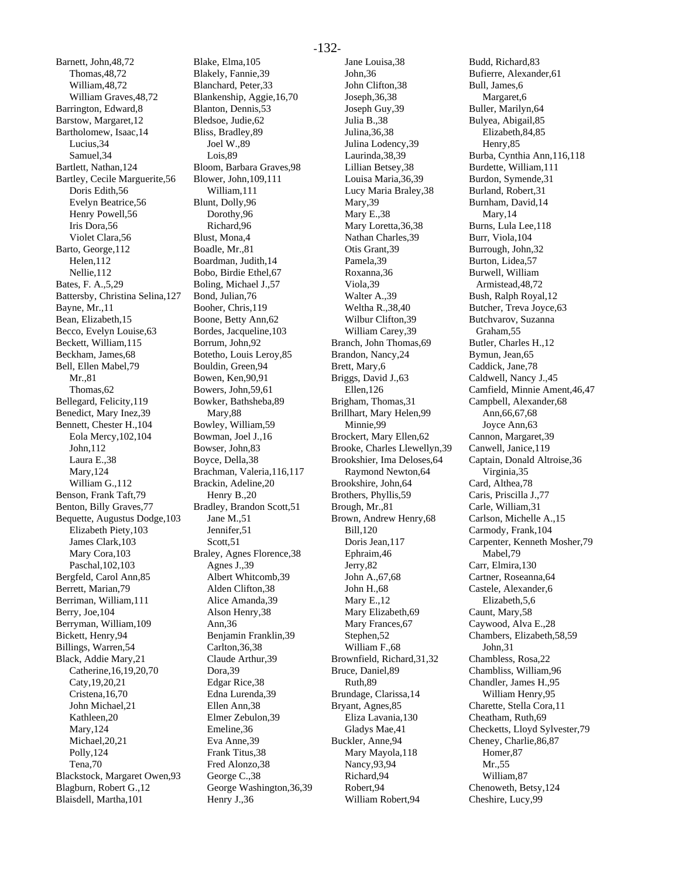Barnett, John,48,72 Thomas,48,72 William,48,72 William Graves,48,72 Barrington, Edward,8 Barstow, Margaret,12 Bartholomew, Isaac,14 Lucius,34 Samuel,34 Bartlett, Nathan,124 Bartley, Cecile Marguerite,56 Doris Edith,56 Evelyn Beatrice,56 Henry Powell,56 Iris Dora,56 Violet Clara,56 Barto, George,112 Helen,112 Nellie,112 Bates, F. A.,5,29 Battersby, Christina Selina,127 Bayne, Mr.,11 Bean, Elizabeth,15 Becco, Evelyn Louise,63 Beckett, William,115 Beckham, James,68 Bell, Ellen Mabel,79 Mr.,81 Thomas,62 Bellegard, Felicity,119 Benedict, Mary Inez,39 Bennett, Chester H.,104 Eola Mercy,102,104 John,112 Laura E.,38 Mary,124 William G.,112 Benson, Frank Taft,79 Benton, Billy Graves,77 Bequette, Augustus Dodge,103 Elizabeth Piety,103 James Clark,103 Mary Cora,103 Paschal,102,103 Bergfeld, Carol Ann,85 Berrett, Marian,79 Berriman, William,111 Berry, Joe,104 Berryman, William,109 Bickett, Henry,94 Billings, Warren,54 Black, Addie Mary,21 Catherine,16,19,20,70 Caty,19,20,21 Cristena,16,70 John Michael,21 Kathleen,20 Mary,124 Michael,20,21 Polly,124 Tena,70 Blackstock, Margaret Owen,93 Blagburn, Robert G.,12

Blaisdell, Martha,101

Blake, Elma,105 Blakely, Fannie,39 Blanchard, Peter,33 Blankenship, Aggie,16,70 Blanton, Dennis,53 Bledsoe, Judie,62 Bliss, Bradley,89 Joel W.,89 Lois,89 Bloom, Barbara Graves,98 Blower, John,109,111 William,111 Blunt, Dolly,96 Dorothy,96 Richard,96 Blust, Mona,4 Boadle, Mr.,81 Boardman, Judith,14 Bobo, Birdie Ethel,67 Boling, Michael J.,57 Bond, Julian,76 Booher, Chris,119 Boone, Betty Ann,62 Bordes, Jacqueline,103 Borrum, John,92 Botetho, Louis Leroy,85 Bouldin, Green,94 Bowen, Ken,90,91 Bowers, John,59,61 Bowker, Bathsheba,89 Mary,88 Bowley, William,59 Bowman, Joel J.,16 Bowser, John,83 Boyce, Della,38 Brachman, Valeria,116,117 Brackin, Adeline,20 Henry B.,20 Bradley, Brandon Scott,51 Jane M.,51 Jennifer,51 Scott,51 Braley, Agnes Florence,38 Agnes J.,39 Albert Whitcomb,39 Alden Clifton,38 Alice Amanda,39 Alson Henry,38 Ann,36 Benjamin Franklin,39 Carlton,36,38 Claude Arthur,39 Dora,39 Edgar Rice,38 Edna Lurenda,39 Ellen Ann,38 Elmer Zebulon,39 Emeline,36 Eva Anne,39 Frank Titus,38 Fred Alonzo,38 George C.,38 George Washington,36,39

Henry J.,36

Jane Louisa,38 John,36 John Clifton,38 Joseph,36,38 Joseph Guy,39 Julia B.,38 Julina,36,38 Julina Lodency,39 Laurinda,38,39 Lillian Betsey,38 Louisa Maria,36,39 Lucy Maria Braley,38 Mary,39 Mary E.,38 Mary Loretta, 36, 38 Nathan Charles,39 Otis Grant,39 Pamela,39 Roxanna,36 Viola,39 Walter A.,39 Weltha R.,38,40 Wilbur Clifton,39 William Carey,39 Branch, John Thomas,69 Brandon, Nancy,24 Brett, Mary,6 Briggs, David J.,63 Ellen,126 Brigham, Thomas,31 Brillhart, Mary Helen,99 Minnie,99 Brockert, Mary Ellen,62 Brooke, Charles Llewellyn,39 Brookshier, Ima Deloses,64 Raymond Newton,64 Brookshire, John,64 Brothers, Phyllis,59 Brough, Mr.,81 Brown, Andrew Henry,68 Bill,120 Doris Jean,117 Ephraim,46 Jerry,82 John A.,67,68 John H.,68 Mary E.,12 Mary Elizabeth,69 Mary Frances,67 Stephen,52 William F.,68 Brownfield, Richard,31,32 Bruce, Daniel,89 Ruth,89 Brundage, Clarissa,14 Bryant, Agnes,85 Eliza Lavania,130 Gladys Mae,41 Buckler, Anne,94 Mary Mayola,118 Nancy,93,94 Richard,94 Robert,94 William Robert,94

Budd, Richard,83 Bufierre, Alexander,61 Bull, James,6 Margaret,6 Buller, Marilyn,64 Bulyea, Abigail,85 Elizabeth,84,85 Henry,85 Burba, Cynthia Ann,116,118 Burdette, William,111 Burdon, Symende,31 Burland, Robert,31 Burnham, David,14 Mary,14 Burns, Lula Lee,118 Burr, Viola,104 Burrough, John,32 Burton, Lidea,57 Burwell, William Armistead,48,72 Bush, Ralph Royal,12 Butcher, Treva Joyce,63 Butchvarov, Suzanna Graham,55 Butler, Charles H.,12 Bymun, Jean,65 Caddick, Jane,78 Caldwell, Nancy J.,45 Camfield, Minnie Ament,46,47 Campbell, Alexander,68 Ann,66,67,68 Joyce Ann,63 Cannon, Margaret,39 Canwell, Janice,119 Captain, Donald Altroise,36 Virginia,35 Card, Althea,78 Caris, Priscilla J.,77 Carle, William,31 Carlson, Michelle A.,15 Carmody, Frank,104 Carpenter, Kenneth Mosher,79 Mabel,79 Carr, Elmira,130 Cartner, Roseanna,64 Castele, Alexander,6 Elizabeth,5,6 Caunt, Mary,58 Caywood, Alva E.,28 Chambers, Elizabeth,58,59 John,31 Chambless, Rosa,22 Chambliss, William,96 Chandler, James H.,95 William Henry,95 Charette, Stella Cora,11 Cheatham, Ruth,69 Checketts, Lloyd Sylvester,79 Cheney, Charlie,86,87 Homer,87 Mr.,55 William,87 Chenoweth, Betsy,124 Cheshire, Lucy,99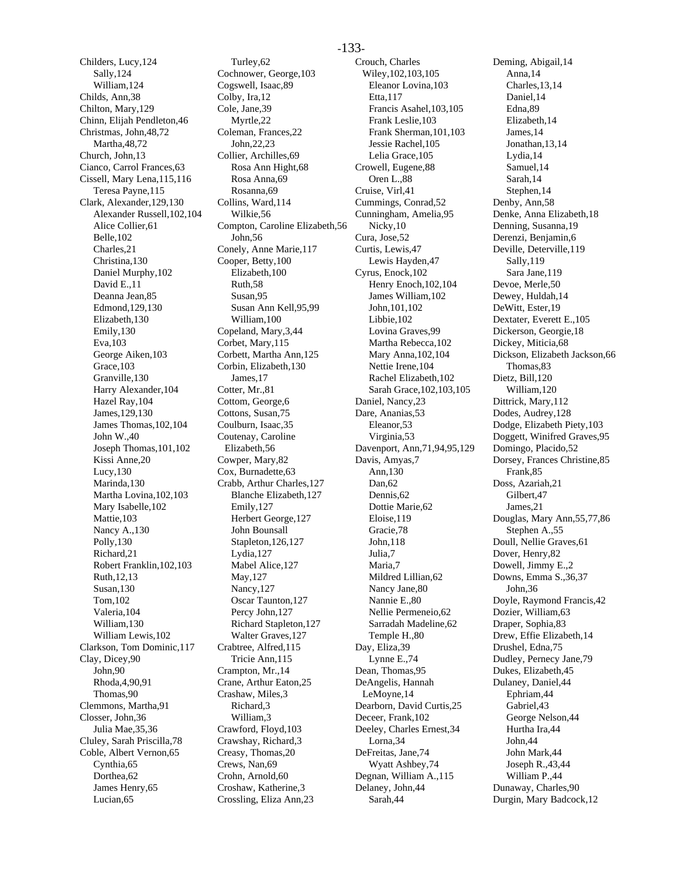Childers, Lucy,124 Sally,124 William,124 Childs, Ann,38 Chilton, Mary,129 Chinn, Elijah Pendleton,46 Christmas, John,48,72 Martha,48,72 Church, John,13 Cianco, Carrol Frances,63 Cissell, Mary Lena,115,116 Teresa Payne,115 Clark, Alexander,129,130 Alexander Russell,102,104 Alice Collier,61 Belle,102 Charles,21 Christina,130 Daniel Murphy,102 David E.,11 Deanna Jean,85 Edmond,129,130 Elizabeth,130 Emily,130 Eva,103 George Aiken,103 Grace,103 Granville,130 Harry Alexander,104 Hazel Ray,104 James,129,130 James Thomas,102,104 John W.,40 Joseph Thomas,101,102 Kissi Anne,20 Lucy,130 Marinda,130 Martha Lovina,102,103 Mary Isabelle,102 Mattie,103 Nancy A.,130 Polly,130 Richard,21 Robert Franklin,102,103 Ruth,12,13 Susan,130 Tom,102 Valeria,104 William,130 William Lewis,102 Clarkson, Tom Dominic,117 Clay, Dicey,90 John,90 Rhoda,4,90,91 Thomas,90 Clemmons, Martha,91 Closser, John,36 Julia Mae,35,36 Cluley, Sarah Priscilla,78 Coble, Albert Vernon,65 Cynthia,65 Dorthea,62 James Henry,65 Lucian,65

Turley,62 Cochnower, George,103 Cogswell, Isaac,89 Colby, Ira,12 Cole, Jane,39 Myrtle,22 Coleman, Frances,22 John,22,23 Collier, Archilles,69 Rosa Ann Hight,68 Rosa Anna,69 Rosanna,69 Collins, Ward,114 Wilkie,56 Compton, Caroline Elizabeth,56 John,56 Conely, Anne Marie,117 Cooper, Betty,100 Elizabeth,100 Ruth,58 Susan,95 Susan Ann Kell,95,99 William,100 Copeland, Mary,3,44 Corbet, Mary,115 Corbett, Martha Ann,125 Corbin, Elizabeth,130 James,17 Cotter, Mr.,81 Cottom, George,6 Cottons, Susan,75 Coulburn, Isaac,35 Coutenay, Caroline Elizabeth,56 Cowper, Mary,82 Cox, Burnadette,63 Crabb, Arthur Charles,127 Blanche Elizabeth,127 Emily,127 Herbert George,127 John Bounsall Stapleton,126,127 Lydia,127 Mabel Alice,127 May,127 Nancy,127 Oscar Taunton,127 Percy John,127 Richard Stapleton,127 Walter Graves,127 Crabtree, Alfred,115 Tricie Ann,115 Crampton, Mr.,14 Crane, Arthur Eaton,25 Crashaw, Miles,3 Richard,3 William,3 Crawford, Floyd,103 Crawshay, Richard,3 Creasy, Thomas,20 Crews, Nan,69 Crohn, Arnold,60 Croshaw, Katherine,3 Crossling, Eliza Ann,23

Crouch, Charles Wiley,102,103,105 Eleanor Lovina,103 Etta,117 Francis Asahel,103,105 Frank Leslie,103 Frank Sherman,101,103 Jessie Rachel,105 Lelia Grace,105 Crowell, Eugene,88 Oren L.,88 Cruise, Virl,41 Cummings, Conrad,52 Cunningham, Amelia,95 Nicky,10 Cura, Jose,52 Curtis, Lewis,47 Lewis Hayden,47 Cyrus, Enock,102 Henry Enoch,102,104 James William,102 John,101,102 Libbie,102 Lovina Graves,99 Martha Rebecca,102 Mary Anna,102,104 Nettie Irene,104 Rachel Elizabeth,102 Sarah Grace,102,103,105 Daniel, Nancy,23 Dare, Ananias,53 Eleanor,53 Virginia,53 Davenport, Ann,71,94,95,129 Davis, Amyas,7 Ann,130 Dan,62 Dennis,62 Dottie Marie,62 Eloise,119 Gracie,78 John,118 Julia,7 Maria,7 Mildred Lillian,62 Nancy Jane,80 Nannie E.,80 Nellie Permeneio,62 Sarradah Madeline,62 Temple H.,80 Day, Eliza,39 Lynne E.,74 Dean, Thomas,95 DeAngelis, Hannah LeMoyne,14 Dearborn, David Curtis,25 Deceer, Frank,102 Deeley, Charles Ernest,34 Lorna,34 DeFreitas, Jane,74 Wyatt Ashbey,74 Degnan, William A.,115 Delaney, John,44 Sarah,44

Deming, Abigail,14 Anna,14 Charles,13,14 Daniel,14 Edna,89 Elizabeth,14 James,14 Jonathan,13,14 Lydia,14 Samuel,14 Sarah,14 Stephen,14 Denby, Ann,58 Denke, Anna Elizabeth,18 Denning, Susanna,19 Derenzi, Benjamin,6 Deville, Deterville,119 Sally,119 Sara Jane,119 Devoe, Merle,50 Dewey, Huldah,14 DeWitt, Ester,19 Dextater, Everett E.,105 Dickerson, Georgie,18 Dickey, Miticia,68 Dickson, Elizabeth Jackson,66 Thomas,83 Dietz, Bill,120 William,120 Dittrick, Mary,112 Dodes, Audrey,128 Dodge, Elizabeth Piety,103 Doggett, Winifred Graves,95 Domingo, Placido,52 Dorsey, Frances Christine,85 Frank,85 Doss, Azariah,21 Gilbert,47 James,21 Douglas, Mary Ann,55,77,86 Stephen A.,55 Doull, Nellie Graves,61 Dover, Henry,82 Dowell, Jimmy E.,2 Downs, Emma S.,36,37 John,36 Doyle, Raymond Francis,42 Dozier, William,63 Draper, Sophia,83 Drew, Effie Elizabeth,14 Drushel, Edna,75 Dudley, Pernecy Jane,79 Dukes, Elizabeth,45 Dulaney, Daniel,44 Ephriam,44 Gabriel,43 George Nelson,44 Hurtha Ira,44 John,44 John Mark,44 Joseph R.,43,44 William P.,44 Dunaway, Charles,90 Durgin, Mary Badcock,12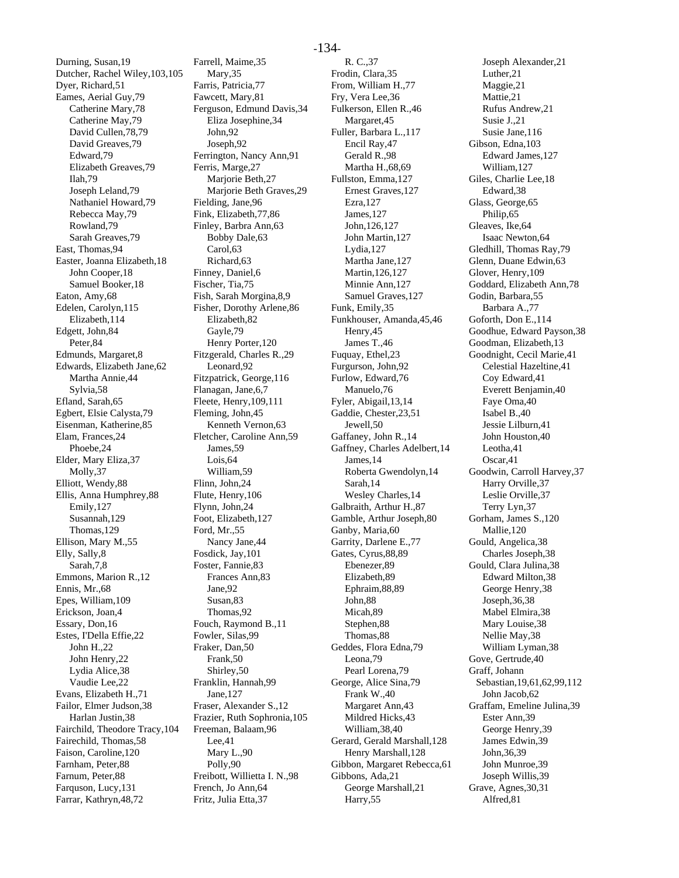Durning, Susan,19 Dutcher, Rachel Wiley,103,105 Dyer, Richard,51 Eames, Aerial Guy,79 Catherine Mary,78 Catherine May,79 David Cullen,78,79 David Greaves,79 Edward,79 Elizabeth Greaves,79 Ilah,79 Joseph Leland,79 Nathaniel Howard,79 Rebecca May,79 Rowland,79 Sarah Greaves,79 East, Thomas,94 Easter, Joanna Elizabeth,18 John Cooper,18 Samuel Booker,18 Eaton, Amy,68 Edelen, Carolyn,115 Elizabeth,114 Edgett, John,84 Peter,84 Edmunds, Margaret,8 Edwards, Elizabeth Jane,62 Martha Annie,44 Sylvia,58 Efland, Sarah,65 Egbert, Elsie Calysta,79 Eisenman, Katherine,85 Elam, Frances,24 Phoebe,24 Elder, Mary Eliza,37 Molly,37 Elliott, Wendy,88 Ellis, Anna Humphrey,88 Emily,127 Susannah,129 Thomas,129 Ellison, Mary M.,55 Elly, Sally,8 Sarah,7,8 Emmons, Marion R.,12 Ennis, Mr.,68 Epes, William,109 Erickson, Joan,4 Essary, Don,16 Estes, I'Della Effie,22 John H.,22 John Henry,22 Lydia Alice,38 Vaudie Lee,22 Evans, Elizabeth H.,71 Failor, Elmer Judson,38 Harlan Justin,38 Fairchild, Theodore Tracy,104 Fairechild, Thomas,58 Faison, Caroline,120 Farnham, Peter,88 Farnum, Peter,88 Farquson, Lucy,131 Farrar, Kathryn,48,72

Farrell, Maime,35 Mary,35 Farris, Patricia,77 Fawcett, Mary,81 Ferguson, Edmund Davis,34 Eliza Josephine,34 John,92 Joseph,92 Ferrington, Nancy Ann,91 Ferris, Marge,27 Marjorie Beth,27 Marjorie Beth Graves,29 Fielding, Jane,96 Fink, Elizabeth,77,86 Finley, Barbra Ann,63 Bobby Dale,63 Carol,63 Richard,63 Finney, Daniel,6 Fischer, Tia,75 Fish, Sarah Morgina,8,9 Fisher, Dorothy Arlene,86 Elizabeth,82 Gayle,79 Henry Porter,120 Fitzgerald, Charles R.,29 Leonard,92 Fitzpatrick, George,116 Flanagan, Jane,6,7 Fleete, Henry,109,111 Fleming, John,45 Kenneth Vernon,63 Fletcher, Caroline Ann,59 James,59 Lois,64 William,59 Flinn, John,24 Flute, Henry,106 Flynn, John,24 Foot, Elizabeth,127 Ford, Mr.,55 Nancy Jane,44 Fosdick, Jay,101 Foster, Fannie,83 Frances Ann,83 Jane,92 Susan,83 Thomas,92 Fouch, Raymond B.,11 Fowler, Silas,99 Fraker, Dan,50 Frank,50 Shirley,50 Franklin, Hannah,99 Jane,127 Fraser, Alexander S.,12 Frazier, Ruth Sophronia,105 Freeman, Balaam,96 Lee,41 Mary L.,90 Polly,90 Freibott, Willietta I. N.,98 French, Jo Ann,64 Fritz, Julia Etta,37

R. C.,37 Frodin, Clara,35 From, William H.,77 Fry, Vera Lee,36 Fulkerson, Ellen R.,46 Margaret,45 Fuller, Barbara L.,117 Encil Ray,47 Gerald R.,98 Martha H.,68,69 Fullston, Emma,127 Ernest Graves,127 Ezra,127 James,127 John,126,127 John Martin,127 Lydia,127 Martha Jane,127 Martin,126,127 Minnie Ann,127 Samuel Graves,127 Funk, Emily,35 Funkhouser, Amanda,45,46 Henry,45 James T.,46 Fuquay, Ethel,23 Furgurson, John,92 Furlow, Edward,76 Manuelo,76 Fyler, Abigail,13,14 Gaddie, Chester,23,51 Jewell,50 Gaffaney, John R.,14 Gaffney, Charles Adelbert,14 James,14 Roberta Gwendolyn,14 Sarah,14 Wesley Charles,14 Galbraith, Arthur H.,87 Gamble, Arthur Joseph,80 Ganby, Maria,60 Garrity, Darlene E.,77 Gates, Cyrus,88,89 Ebenezer,89 Elizabeth,89 Ephraim,88,89 John,88 Micah,89 Stephen,88 Thomas,88 Geddes, Flora Edna,79 Leona,79 Pearl Lorena,79 George, Alice Sina,79 Frank W.,40 Margaret Ann,43 Mildred Hicks,43 William,38,40 Gerard, Gerald Marshall,128 Henry Marshall,128 Gibbon, Margaret Rebecca,61 Gibbons, Ada,21 George Marshall,21 Harry,55

Joseph Alexander,21 Luther,21 Maggie,21 Mattie,21 Rufus Andrew,21 Susie J.,21 Susie Jane,116 Gibson, Edna,103 Edward James,127 William,127 Giles, Charlie Lee,18 Edward,38 Glass, George,65 Philip,65 Gleaves, Ike,64 Isaac Newton,64 Gledhill, Thomas Ray,79 Glenn, Duane Edwin,63 Glover, Henry,109 Goddard, Elizabeth Ann,78 Godin, Barbara,55 Barbara A.,77 Goforth, Don E.,114 Goodhue, Edward Payson,38 Goodman, Elizabeth,13 Goodnight, Cecil Marie,41 Celestial Hazeltine,41 Coy Edward,41 Everett Benjamin,40 Faye Oma,40 Isabel B.,40 Jessie Lilburn,41 John Houston,40 Leotha,41 Oscar,41 Goodwin, Carroll Harvey,37 Harry Orville,37 Leslie Orville,37 Terry Lyn,37 Gorham, James S.,120 Mallie,120 Gould, Angelica,38 Charles Joseph,38 Gould, Clara Julina,38 Edward Milton,38 George Henry,38 Joseph,36,38 Mabel Elmira,38 Mary Louise,38 Nellie May,38 William Lyman,38 Gove, Gertrude,40 Graff, Johann Sebastian,19,61,62,99,112 John Jacob,62 Graffam, Emeline Julina,39 Ester Ann,39 George Henry,39 James Edwin,39 John,36,39 John Munroe,39 Joseph Willis,39 Grave, Agnes,30,31 Alfred,81

#### -134-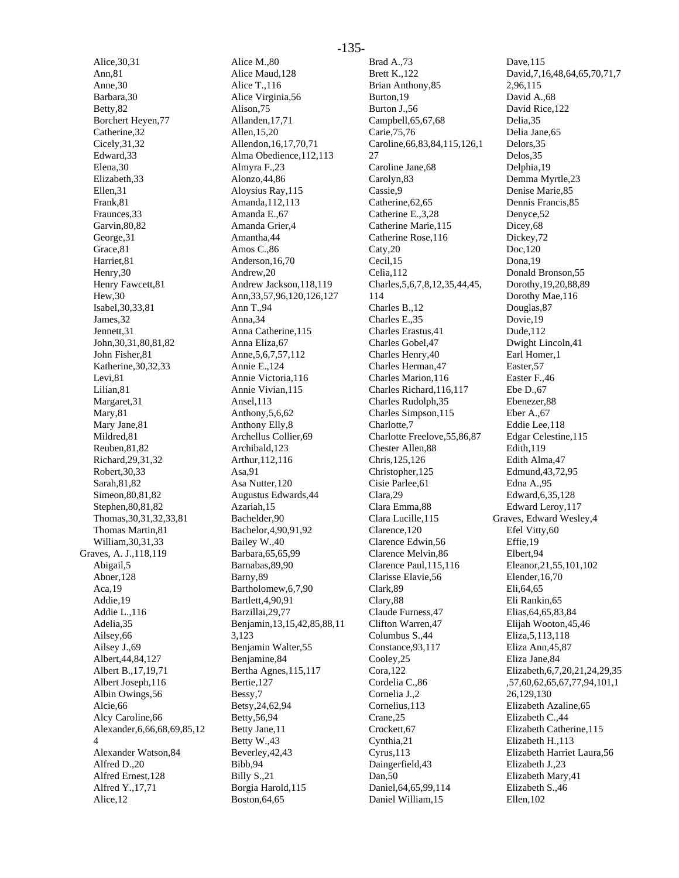Alice,30,31 Ann,81 Anne,30 Barbara,30 Betty,82 Borchert Heyen,77 Catherine,32 Cicely,31,32 Edward,33 Elena,30 Elizabeth,33 Ellen,31 Frank,81 Fraunces,33 Garvin,80,82 George,31 Grace,81 Harriet,81 Henry,30 Henry Fawcett,81 Hew,30 Isabel,30,33,81 James,32 Jennett,31 John,30,31,80,81,82 John Fisher,81 Katherine,30,32,33 Levi,81 Lilian,81 Margaret,31 Mary,81 Mary Jane,81 Mildred,81 Reuben,81,82 Richard,29,31,32 Robert,30,33 Sarah,81,82 Simeon,80,81,82 Stephen,80,81,82 Thomas,30,31,32,33,81 Thomas Martin,81 William,30,31,33 Graves, A. J.,118,119 Abigail,5 Abner,128 Aca,19 Addie,19 Addie L.,116 Adelia,35 Ailsey,66 Ailsey J.,69 Albert,44,84,127 Albert B.,17,19,71 Albert Joseph,116 Albin Owings,56 Alcie,66 Alcy Caroline,66 Alexander,6,66,68,69,85,12 4 Alexander Watson,84 Alfred D.,20 Alfred Ernest,128 Alfred Y.,17,71 Alice,12

Alice M.,80 Alice Maud,128 Alice T.,116 Alice Virginia,56 Alison,75 Allanden,17,71 Allen,15,20 Allendon,16,17,70,71 Alma Obedience,112,113 Almyra F.,23 Alonzo,44,86 Aloysius Ray,115 Amanda,112,113 Amanda E.,67 Amanda Grier,4 Amantha,44 Amos C.,86 Anderson,16,70 Andrew,20 Andrew Jackson,118,119 Ann,33,57,96,120,126,127 Ann T.,94 Anna,34 Anna Catherine,115 Anna Eliza,67 Anne,5,6,7,57,112 Annie E.,124 Annie Victoria,116 Annie Vivian,115 Ansel,113 Anthony,5,6,62 Anthony Elly,8 Archellus Collier,69 Archibald,123 Arthur,112,116 Asa,91 Asa Nutter,120 Augustus Edwards,44 Azariah,15 Bachelder,90 Bachelor,4,90,91,92 Bailey W.,40 Barbara,65,65,99 Barnabas,89,90 Barny,89 Bartholomew,6,7,90 Bartlett,4,90,91 Barzillai,29,77 Benjamin,13,15,42,85,88,11 3,123 Benjamin Walter,55 Benjamine,84 Bertha Agnes,115,117 Bertie,127 Bessy,7 Betsy,24,62,94 Betty,56,94 Betty Jane,11 Betty W.,43 Beverley,42,43 Bibb,94 Billy S.,21 Borgia Harold,115 Boston,64,65

Brad A.,73 Brett K.,122 Brian Anthony,85 Burton,19 Burton J.,56 Campbell,65,67,68 Carie,75,76 Caroline,66,83,84,115,126,1 27 Caroline Jane,68 Carolyn,83 Cassie,9 Catherine,62,65 Catherine E.,3,28 Catherine Marie,115 Catherine Rose,116 Caty,20 Cecil,15 Celia,112 Charles,5,6,7,8,12,35,44,45, 114 Charles B.,12 Charles E.,35 Charles Erastus,41 Charles Gobel,47 Charles Henry,40 Charles Herman,47 Charles Marion,116 Charles Richard,116,117 Charles Rudolph,35 Charles Simpson,115 Charlotte,7 Charlotte Freelove,55,86,87 Chester Allen,88 Chris,125,126 Christopher,125 Cisie Parlee,61 Clara,29 Clara Emma,88 Clara Lucille,115 Clarence,120 Clarence Edwin,56 Clarence Melvin,86 Clarence Paul,115,116 Clarisse Elavie,56 Clark,89 Clary,88 Claude Furness,47 Clifton Warren,47 Columbus S.,44 Constance,93,117 Cooley,25 Cora,122 Cordelia C.,86 Cornelia J.,2 Cornelius,113 Crane,25 Crockett,67 Cynthia,21 Cyrus,113 Daingerfield,43 Dan,50 Daniel,64,65,99,114 Daniel William,15

Dave,115 David,7,16,48,64,65,70,71,7 2,96,115 David A.,68 David Rice,122 Delia,35 Delia Jane,65 Delors,35 Delos,35 Delphia,19 Demma Myrtle,23 Denise Marie,85 Dennis Francis,85 Denyce,52 Dicey<sub>,68</sub> Dickey,72 Doc,120 Dona,19 Donald Bronson,55 Dorothy,19,20,88,89 Dorothy Mae,116 Douglas,87 Dovie,19 Dude,112 Dwight Lincoln,41 Earl Homer,1 Easter,57 Easter F.,46 Ebe D.,67 Ebenezer,88 Eber A.,67 Eddie Lee,118 Edgar Celestine,115 Edith,119 Edith Alma,47 Edmund,43,72,95 Edna A.,95 Edward,6,35,128 Edward Leroy,117 Graves, Edward Wesley,4 Efel Vitty,60 Effie,19 Elbert,94 Eleanor,21,55,101,102 Elender,16,70 Eli,64,65 Eli Rankin,65 Elias,64,65,83,84 Elijah Wooton,45,46 Eliza,5,113,118 Eliza Ann,45,87 Eliza Jane,84 Elizabeth,6,7,20,21,24,29,35 ,57,60,62,65,67,77,94,101,1 26,129,130 Elizabeth Azaline,65 Elizabeth C.,44 Elizabeth Catherine,115 Elizabeth H.,113 Elizabeth Harriet Laura,56 Elizabeth J.,23 Elizabeth Mary,41 Elizabeth S.,46 Ellen,102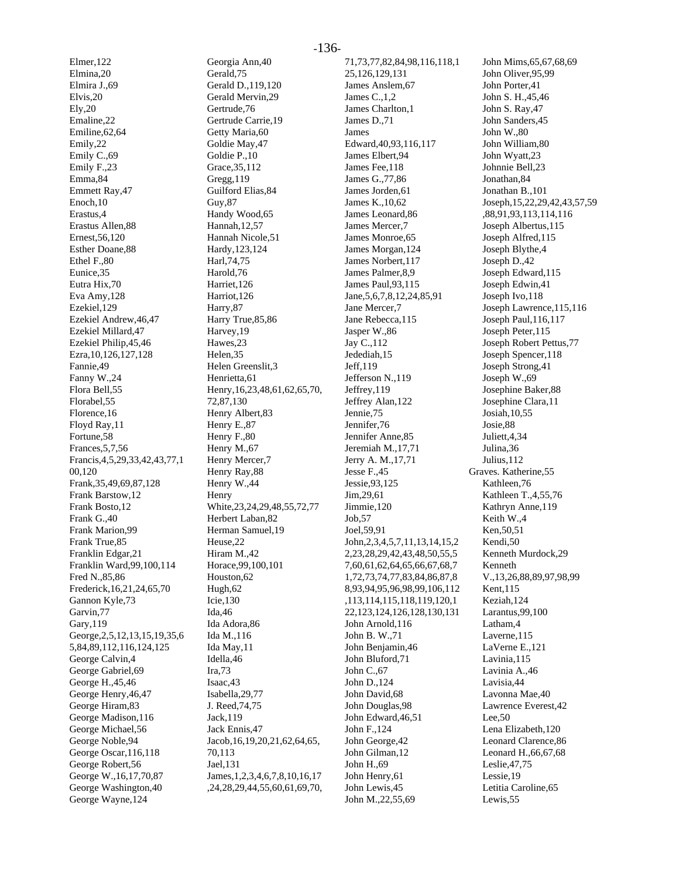Elmer,122 Elmina,20 Elmira J.,69 Elvis,20 Ely,20 Emaline,22 Emiline,62,64 Emily,22 Emily C.,69 Emily F.,23 Emma,84 Emmett Ray,47 Enoch,10 Erastus,4 Erastus Allen,88 Ernest,56,120 Esther Doane,88 Ethel F.,80 Eunice,35 Eutra Hix,70 Eva Amy,128 Ezekiel,129 Ezekiel Andrew,46,47 Ezekiel Millard,47 Ezekiel Philip,45,46 Ezra,10,126,127,128 Fannie,49 Fanny W.,24 Flora Bell,55 Florabel,55 Florence,16 Floyd Ray,11 Fortune,58 Frances,5,7,56 Francis,4,5,29,33,42,43,77,1 00,120 Frank,35,49,69,87,128 Frank Barstow,12 Frank Bosto,12 Frank G.,40 Frank Marion,99 Frank True,85 Franklin Edgar,21 Franklin Ward,99,100,114 Fred N.,85,86 Frederick,16,21,24,65,70 Gannon Kyle,73 Garvin,77 Gary,119 George,2,5,12,13,15,19,35,6 5,84,89,112,116,124,125 George Calvin,4 George Gabriel,69 George H.,45,46 George Henry,46,47 George Hiram,83 George Madison,116 George Michael,56 George Noble,94 George Oscar,116,118 George Robert,56 George W.,16,17,70,87 George Washington,40 George Wayne,124

Georgia Ann,40 Gerald,75 Gerald D.,119,120 Gerald Mervin,29 Gertrude,76 Gertrude Carrie,19 Getty Maria,60 Goldie May,47 Goldie P.,10 Grace,35,112 Gregg,119 Guilford Elias,84 Guy,87 Handy Wood,65 Hannah,12,57 Hannah Nicole,51 Hardy,123,124 Harl,74,75 Harold,76 Harriet,126 Harriot,126 Harry,87 Harry True,85,86 Harvey,19 Hawes,23 Helen,35 Helen Greenslit,3 Henrietta,61 Henry,16,23,48,61,62,65,70, 72,87,130 Henry Albert,83 Henry E.,87 Henry F.,80 Henry M.,67 Henry Mercer,7 Henry Ray,88 Henry W.,44 Henry White,23,24,29,48,55,72,77 Herbert Laban,82 Herman Samuel,19 Heuse,22 Hiram M.,42 Horace,99,100,101 Houston,62 Hugh,62 Icie,130 Ida,46 Ida Adora,86 Ida M.,116 Ida May,11 Idella,46 Ira,73 Isaac,43 Isabella,29,77 J. Reed,74,75 Jack,119 Jack Ennis,47 Jacob,16,19,20,21,62,64,65, 70,113 Jael,131 James,1,2,3,4,6,7,8,10,16,17 ,24,28,29,44,55,60,61,69,70,

71,73,77,82,84,98,116,118,1 25,126,129,131 James Anslem,67 James C.,1,2 James Charlton,1 James D.,71 James Edward,40,93,116,117 James Elbert,94 James Fee,118 James G.,77,86 James Jorden,61 James K.,10,62 James Leonard,86 James Mercer,7 James Monroe,65 James Morgan,124 James Norbert,117 James Palmer,8,9 James Paul,93,115 Jane,5,6,7,8,12,24,85,91 Jane Mercer,7 Jane Rebecca,115 Jasper W.,86 Jay C.,112 Jedediah,15 Jeff,119 Jefferson N.,119 Jeffrey,119 Jeffrey Alan,122 Jennie,75 Jennifer,76 Jennifer Anne,85 Jeremiah M.,17,71 Jerry A. M.,17,71 Jesse F.,45 Jessie,93,125 Jim,29,61 Jimmie,120 Job,57 Joel,59,91 John,2,3,4,5,7,11,13,14,15,2 2,23,28,29,42,43,48,50,55,5 7,60,61,62,64,65,66,67,68,7 1,72,73,74,77,83,84,86,87,8 8,93,94,95,96,98,99,106,112 ,113,114,115,118,119,120,1 22,123,124,126,128,130,131 John Arnold,116 John B. W.,71 John Benjamin,46 John Bluford,71 John C.,67 John D.,124 John David,68 John Douglas,98 John Edward,46,51 John F.,124 John George,42 John Gilman,12 John H.,69 John Henry,61 John Lewis,45 John M.,22,55,69

John Mims,65,67,68,69 John Oliver,95,99 John Porter,41 John S. H.,45,46 John S. Ray,47 John Sanders,45 John W.,80 John William,80 John Wyatt,23 Johnnie Bell,23 Jonathan,84 Jonathan B.,101 Joseph,15,22,29,42,43,57,59 ,88,91,93,113,114,116 Joseph Albertus,115 Joseph Alfred,115 Joseph Blythe,4 Joseph D.,42 Joseph Edward,115 Joseph Edwin,41 Joseph Ivo,118 Joseph Lawrence,115,116 Joseph Paul,116,117 Joseph Peter,115 Joseph Robert Pettus,77 Joseph Spencer,118 Joseph Strong,41 Joseph W.,69 Josephine Baker,88 Josephine Clara,11 Josiah,10,55 Josie,88 Juliett,4,34 Julina,36 Julius,112 Graves. Katherine,55 Kathleen,76 Kathleen T.,4,55,76 Kathryn Anne,119 Keith W.,4 Ken,50,51 Kendi,50 Kenneth Murdock,29 Kenneth V.,13,26,88,89,97,98,99 Kent,115 Keziah,124 Larantus,99,100 Latham,4 Laverne,115 LaVerne E.,121 Lavinia,115 Lavinia A.,46 Lavisia,44 Lavonna Mae,40 Lawrence Everest,42 Lee,50 Lena Elizabeth,120 Leonard Clarence,86 Leonard H.,66,67,68 Leslie,47,75 Lessie,19 Letitia Caroline,65

Lewis,55

#### -136-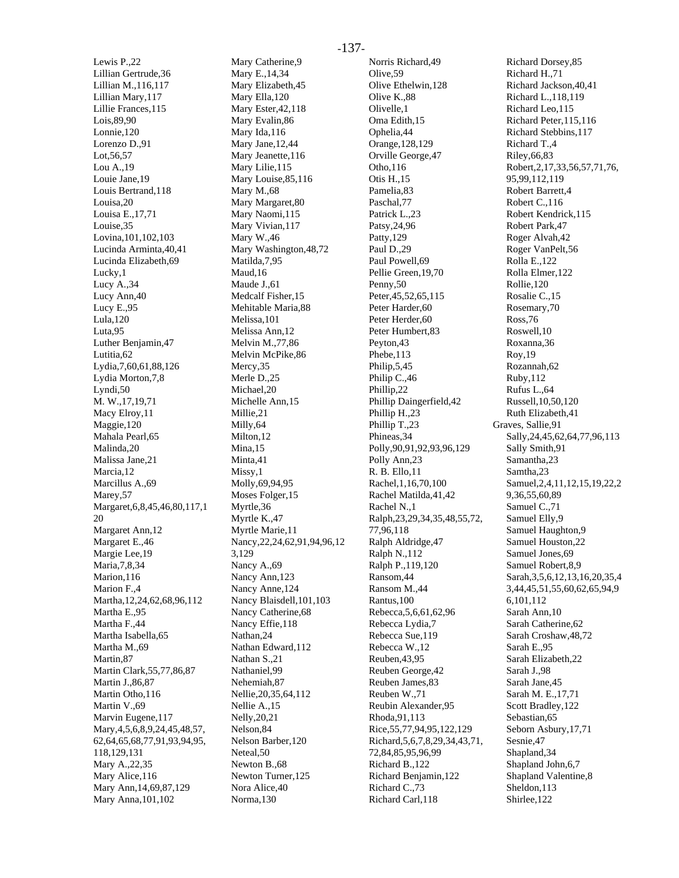Lewis P.,22 Lillian Gertrude,36 Lillian M.,116,117 Lillian Mary,117 Lillie Frances,115 Lois,89,90 Lonnie,120 Lorenzo D.,91 Lot,56,57 Lou A.,19 Louie Jane,19 Louis Bertrand,118 Louisa, 20 Louisa E.,17,71 Louise,35 Lovina,101,102,103 Lucinda Arminta,40,41 Lucinda Elizabeth,69 Lucky,1 Lucy A.,34 Lucy Ann,40 Lucy E.,95 Lula,120 Luta,95 Luther Benjamin,47 Lutitia,62 Lydia,7,60,61,88,126 Lydia Morton,7,8 Lyndi,50 M. W.,17,19,71 Macy Elroy,11 Maggie,120 Mahala Pearl,65 Malinda,20 Malissa Jane,21 Marcia,12 Marcillus A.,69 Marey,57 Margaret,6,8,45,46,80,117,1 20 Margaret Ann,12 Margaret E.,46 Margie Lee,19 Maria,7,8,34 Marion,116 Marion F.,4 Martha,12,24,62,68,96,112 Martha E.,95 Martha F.,44 Martha Isabella,65 Martha M.,69 Martin,87 Martin Clark,55,77,86,87 Martin J.,86,87 Martin Otho,116 Martin V.,69 Marvin Eugene,117 Mary,4,5,6,8,9,24,45,48,57, 62,64,65,68,77,91,93,94,95, 118,129,131 Mary A.,22,35 Mary Alice,116 Mary Ann,14,69,87,129 Mary Anna,101,102

Mary Catherine,9 Mary E.,14,34 Mary Elizabeth,45 Mary Ella,120 Mary Ester,42,118 Mary Evalin,86 Mary Ida,116 Mary Jane,12,44 Mary Jeanette,116 Mary Lilie,115 Mary Louise,85,116 Mary M.,68 Mary Margaret,80 Mary Naomi,115 Mary Vivian,117 Mary W.,46 Mary Washington,48,72 Matilda,7,95 Maud,16 Maude J.,61 Medcalf Fisher,15 Mehitable Maria,88 Melissa,101 Melissa Ann,12 Melvin M.,77,86 Melvin McPike,86 Mercy,35 Merle D.,25 Michael,20 Michelle Ann,15 Millie,21 Milly,64 Milton,12 Mina,15 Minta,41 Missy,1 Molly,69,94,95 Moses Folger,15 Myrtle,36 Myrtle K.,47 Myrtle Marie,11 Nancy,22,24,62,91,94,96,12 3,129 Nancy A.,69 Nancy Ann,123 Nancy Anne,124 Nancy Blaisdell,101,103 Nancy Catherine,68 Nancy Effie,118 Nathan,24 Nathan Edward,112 Nathan S.,21 Nathaniel,99 Nehemiah,87 Nellie,20,35,64,112 Nellie A.,15 Nelly,20,21 Nelson,84 Nelson Barber,120 Neteal,50 Newton B.,68 Newton Turner,125 Nora Alice,40 Norma,130

Norris Richard,49 Olive,59 Olive Ethelwin,128 Olive K.,88 Olivelle,1 Oma Edith,15 Ophelia,44 Orange,128,129 Orville George,47 Otho,116 Otis H.,15 Pamelia,83 Paschal,77 Patrick L.,23 Patsy,24,96 Patty,129 Paul D.,29 Paul Powell,69 Pellie Green,19,70 Penny,50 Peter,45,52,65,115 Peter Harder, 60 Peter Herder,60 Peter Humbert,83 Peyton,43 Phebe,113 Philip,5,45 Philip C.,46 Phillip,22 Phillip Daingerfield,42 Phillip H.,23 Phillip T.,23 Phineas,34 Polly,90,91,92,93,96,129 Polly Ann,23 R. B. Ello,11 Rachel,1,16,70,100 Rachel Matilda,41,42 Rachel N.,1 Ralph,23,29,34,35,48,55,72, 77,96,118 Ralph Aldridge,47 Ralph N.,112 Ralph P.,119,120 Ransom,44 Ransom M.,44 Rantus,100 Rebecca,5,6,61,62,96 Rebecca Lydia,7 Rebecca Sue,119 Rebecca W.,12 Reuben,43,95 Reuben George,42 Reuben James,83 Reuben W.,71 Reubin Alexander,95 Rhoda,91,113 Rice,55,77,94,95,122,129 Richard,5,6,7,8,29,34,43,71, 72,84,85,95,96,99 Richard B.,122 Richard Benjamin,122 Richard C.,73 Richard Carl,118

Richard Dorsey,85 Richard H.,71 Richard Jackson,40,41 Richard L.,118,119 Richard Leo,115 Richard Peter,115,116 Richard Stebbins,117 Richard T.,4 Riley,66,83 Robert,2,17,33,56,57,71,76, 95,99,112,119 Robert Barrett,4 Robert C.,116 Robert Kendrick,115 Robert Park,47 Roger Alvah,42 Roger VanPelt,56 Rolla E.,122 Rolla Elmer,122 Rollie,120 Rosalie C.,15 Rosemary,70 Ross,76 Roswell,10 Roxanna,36 Roy,19 Rozannah,62 Ruby,112 Rufus L.,64 Russell,10,50,120 Ruth Elizabeth,41 Graves, Sallie,91 Sally,24,45,62,64,77,96,113 Sally Smith,91 Samantha,23 Samtha,23 Samuel,2,4,11,12,15,19,22,2 9,36,55,60,89 Samuel C.,71 Samuel Elly,9 Samuel Haughton,9 Samuel Houston,22 Samuel Jones,69 Samuel Robert,8,9 Sarah,3,5,6,12,13,16,20,35,4 3,44,45,51,55,60,62,65,94,9 6,101,112 Sarah Ann,10 Sarah Catherine,62 Sarah Croshaw,48,72 Sarah E.,95 Sarah Elizabeth,22 Sarah J.,98 Sarah Jane,45 Sarah M. E.,17,71 Scott Bradley,122 Sebastian,65 Seborn Asbury,17,71 Sesnie,47 Shapland,34 Shapland John,6,7 Shapland Valentine,8 Sheldon,113 Shirlee,122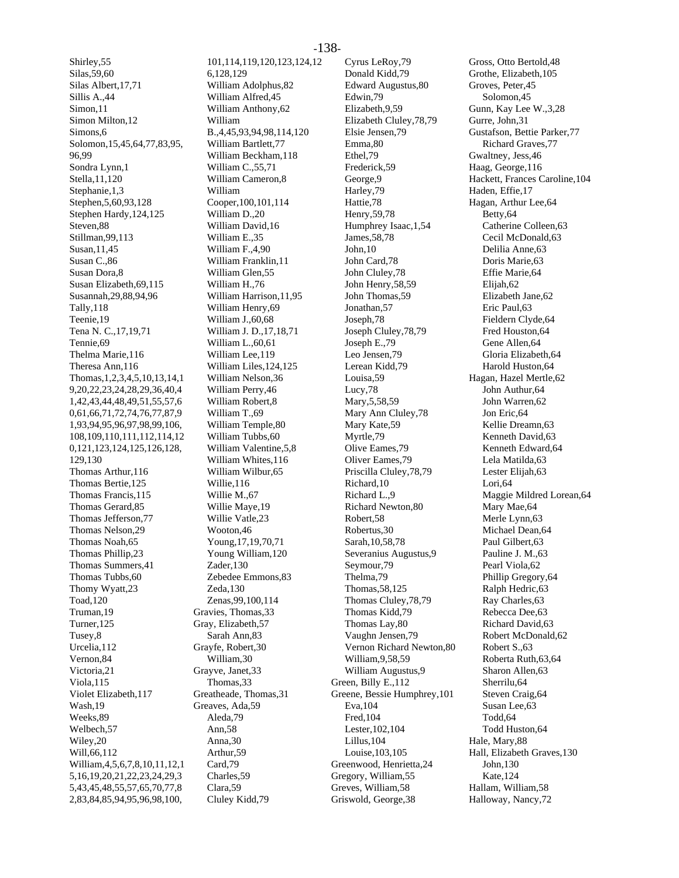Shirley,55 Silas,59,60 Silas Albert,17,71 Sillis A.,44 Simon,11 Simon Milton,12 Simons,6 Solomon,15,45,64,77,83,95, 96,99 Sondra Lynn,1 Stella,11,120 Stephanie,1,3 Stephen,5,60,93,128 Stephen Hardy,124,125 Steven,88 Stillman,99,113 Susan,11,45 Susan C.,86 Susan Dora,8 Susan Elizabeth,69,115 Susannah,29,88,94,96 Tally,118 Teenie,19 Tena N. C.,17,19,71 Tennie,69 Thelma Marie,116 Theresa Ann,116 Thomas,1,2,3,4,5,10,13,14,1 9,20,22,23,24,28,29,36,40,4 1,42,43,44,48,49,51,55,57,6 0,61,66,71,72,74,76,77,87,9 1,93,94,95,96,97,98,99,106, 108,109,110,111,112,114,12 0,121,123,124,125,126,128, 129,130 Thomas Arthur,116 Thomas Bertie,125 Thomas Francis,115 Thomas Gerard,85 Thomas Jefferson,77 Thomas Nelson,29 Thomas Noah,65 Thomas Phillip,23 Thomas Summers,41 Thomas Tubbs,60 Thomy Wyatt,23 Toad,120 Truman,19 Turner,125 Tusey,8 Urcelia,112 Vernon,84 Victoria,21 Viola,115 Violet Elizabeth,117 Wash,19 Weeks,89 Welbech,57 Wiley,20 Will,66,112 William,4,5,6,7,8,10,11,12,1 5,16,19,20,21,22,23,24,29,3 5,43,45,48,55,57,65,70,77,8 2,83,84,85,94,95,96,98,100,

101,114,119,120,123,124,12 6,128,129 William Adolphus,82 William Alfred,45 William Anthony,62 William B.,4,45,93,94,98,114,120 William Bartlett,77 William Beckham,118 William C.,55,71 William Cameron,8 William Cooper,100,101,114 William D.,20 William David,16 William E.,35 William F.,4,90 William Franklin,11 William Glen,55 William H.,76 William Harrison,11,95 William Henry,69 William J.,60,68 William J. D.,17,18,71 William L.,60,61 William Lee,119 William Liles,124,125 William Nelson,36 William Perry,46 William Robert,8 William T.,69 William Temple,80 William Tubbs,60 William Valentine,5,8 William Whites,116 William Wilbur,65 Willie,116 Willie M.,67 Willie Maye,19 Willie Vatle,23 Wooton,46 Young,17,19,70,71 Young William,120 Zader,130 Zebedee Emmons,83 Zeda,130 Zenas,99,100,114 Gravies, Thomas,33 Gray, Elizabeth,57 Sarah Ann,83 Grayfe, Robert,30 William,30 Grayve, Janet,33 Thomas,33 Greatheade, Thomas,31 Greaves, Ada,59 Aleda,79 Ann,58 Anna,30 Arthur,59 Card,79 Charles,59 Clara,59 Cluley Kidd,79

Cyrus LeRoy,79 Donald Kidd,79 Edward Augustus,80 Edwin,79 Elizabeth,9,59 Elizabeth Cluley,78,79 Elsie Jensen,79 Emma,80 Ethel,79 Frederick,59 George,9 Harley,79 Hattie,78 Henry,59,78 Humphrey Isaac,1,54 James,58,78 John,10 John Card,78 John Cluley,78 John Henry,58,59 John Thomas,59 Jonathan,57 Joseph,78 Joseph Cluley,78,79 Joseph E.,79 Leo Jensen,79 Lerean Kidd,79 Louisa,59 Lucy,78 Mary,5,58,59 Mary Ann Cluley,78 Mary Kate,59 Myrtle,79 Olive Eames,79 Oliver Eames,79 Priscilla Cluley,78,79 Richard,10 Richard L.,9 Richard Newton,80 Robert,58 Robertus,30 Sarah,10,58,78 Severanius Augustus,9 Seymour,79 Thelma,79 Thomas,58,125 Thomas Cluley,78,79 Thomas Kidd,79 Thomas Lay,80 Vaughn Jensen,79 Vernon Richard Newton,80 William,9,58,59 William Augustus,9 Green, Billy E.,112 Greene, Bessie Humphrey,101 Eva,104 Fred,104 Lester,102,104 Lillus,104 Louise,103,105 Greenwood, Henrietta,24 Gregory, William,55 Greves, William,58 Griswold, George,38

Gross, Otto Bertold,48 Grothe, Elizabeth,105 Groves, Peter,45 Solomon,45 Gunn, Kay Lee W.,3,28 Gurre, John,31 Gustafson, Bettie Parker,77 Richard Graves,77 Gwaltney, Jess,46 Haag, George,116 Hackett, Frances Caroline,104 Haden, Effie,17 Hagan, Arthur Lee,64 Betty,64 Catherine Colleen,63 Cecil McDonald,63 Delilia Anne,63 Doris Marie,63 Effie Marie,64 Elijah,62 Elizabeth Jane,62 Eric Paul,63 Fieldern Clyde,64 Fred Houston,64 Gene Allen,64 Gloria Elizabeth,64 Harold Huston,64 Hagan, Hazel Mertle,62 John Authur,64 John Warren,62 Jon Eric,64 Kellie Dreamn,63 Kenneth David,63 Kenneth Edward,64 Lela Matilda,63 Lester Elijah,63 Lori,64 Maggie Mildred Lorean,64 Mary Mae,64 Merle Lynn,63 Michael Dean,64 Paul Gilbert,63 Pauline J. M.,63 Pearl Viola,62 Phillip Gregory,64 Ralph Hedric,63 Ray Charles,63 Rebecca Dee,63 Richard David,63 Robert McDonald,62 Robert S.,63 Roberta Ruth,63,64 Sharon Allen,63 Sherrilu,64 Steven Craig,64 Susan Lee,63 Todd,64 Todd Huston,64 Hale, Mary,88 Hall, Elizabeth Graves,130 John,130 Kate,124 Hallam, William,58 Halloway, Nancy,72

#### -138-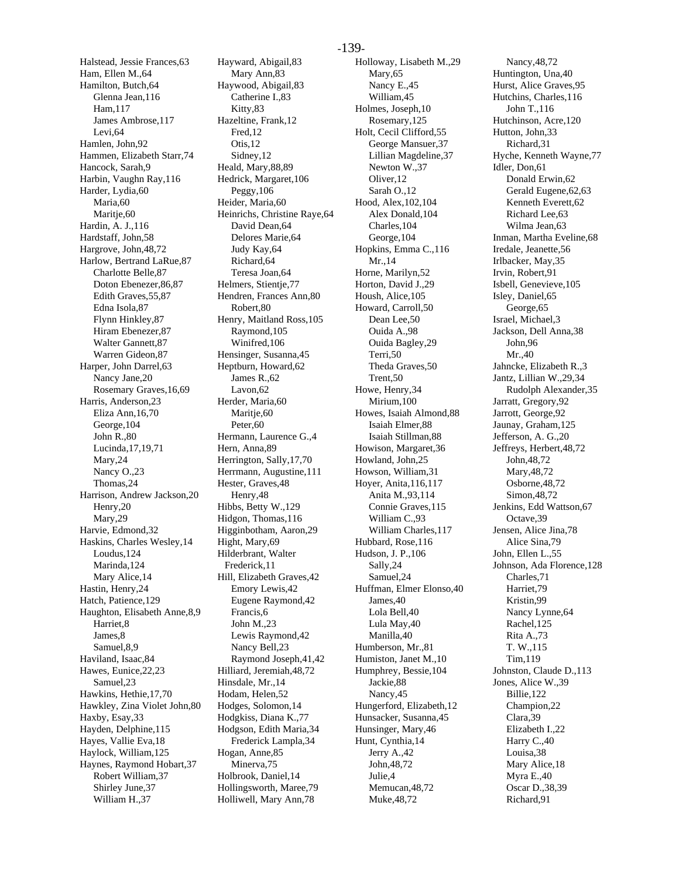Halstead, Jessie Frances,63 Ham, Ellen M.,64 Hamilton, Butch,64 Glenna Jean,116 Ham,117 James Ambrose,117 Levi,64 Hamlen, John,92 Hammen, Elizabeth Starr,74 Hancock, Sarah,9 Harbin, Vaughn Ray,116 Harder, Lydia,60 Maria,60 Maritje,60 Hardin, A. J.,116 Hardstaff, John,58 Hargrove, John,48,72 Harlow, Bertrand LaRue,87 Charlotte Belle,87 Doton Ebenezer,86,87 Edith Graves,55,87 Edna Isola,87 Flynn Hinkley,87 Hiram Ebenezer,87 Walter Gannett,87 Warren Gideon,87 Harper, John Darrel,63 Nancy Jane,20 Rosemary Graves,16,69 Harris, Anderson,23 Eliza Ann,16,70 George,104 John R.,80 Lucinda,17,19,71 Mary,24 Nancy O.,23 Thomas,24 Harrison, Andrew Jackson,20 Henry,20 Mary,29 Harvie, Edmond,32 Haskins, Charles Wesley,14 Loudus,124 Marinda,124 Mary Alice,14 Hastin, Henry,24 Hatch, Patience,129 Haughton, Elisabeth Anne,8,9 Harriet,8 Iames 8 Samuel,8,9 Haviland, Isaac,84 Hawes, Eunice,22,23 Samuel,23 Hawkins, Hethie,17,70 Hawkley, Zina Violet John,80 Haxby, Esay,33 Hayden, Delphine,115 Hayes, Vallie Eva,18 Haylock, William,125 Haynes, Raymond Hobart,37 Robert William,37 Shirley June,37 William H.,37

Hayward, Abigail,83 Mary Ann,83 Haywood, Abigail,83 Catherine I.,83 Kitty,83 Hazeltine, Frank,12 Fred,12 Otis,12 Sidney,12 Heald, Mary,88,89 Hedrick, Margaret,106 Peggy,106 Heider, Maria,60 Heinrichs, Christine Raye,64 David Dean,64 Delores Marie,64 Judy Kay,64 Richard,64 Teresa Joan,64 Helmers, Stientie, 77 Hendren, Frances Ann,80 Robert,80 Henry, Maitland Ross,105 Raymond,105 Winifred,106 Hensinger, Susanna,45 Heptburn, Howard,62 James R.,62 Lavon,62 Herder, Maria,60 Maritie,60 Peter,60 Hermann, Laurence G.,4 Hern, Anna,89 Herrington, Sally,17,70 Herrmann, Augustine,111 Hester, Graves,48 Henry,48 Hibbs, Betty W.,129 Hidgon, Thomas,116 Higginbotham, Aaron,29 Hight, Mary,69 Hilderbrant, Walter Frederick,11 Hill, Elizabeth Graves,42 Emory Lewis,42 Eugene Raymond,42 Francis,6 John M.,23 Lewis Raymond,42 Nancy Bell,23 Raymond Joseph,41,42 Hilliard, Jeremiah,48,72 Hinsdale, Mr.,14 Hodam, Helen,52 Hodges, Solomon,14 Hodgkiss, Diana K.,77 Hodgson, Edith Maria,34 Frederick Lampla,34 Hogan, Anne,85 Minerva,75 Holbrook, Daniel,14 Hollingsworth, Maree,79 Holliwell, Mary Ann,78

Holloway, Lisabeth M.,29 Mary,65 Nancy E.,45 William,45 Holmes, Joseph,10 Rosemary,125 Holt, Cecil Clifford,55 George Mansuer,37 Lillian Magdeline,37 Newton W.,37 Oliver,12 Sarah O.,12 Hood, Alex,102,104 Alex Donald,104 Charles,104 George,104 Hopkins, Emma C.,116 Mr.,14 Horne, Marilyn,52 Horton, David J.,29 Housh, Alice,105 Howard, Carroll,50 Dean Lee,50 Ouida A.,98 Ouida Bagley,29 Terri,50 Theda Graves,50 Trent,50 Howe, Henry,34 Mirium,100 Howes, Isaiah Almond,88 Isaiah Elmer,88 Isaiah Stillman,88 Howison, Margaret,36 Howland, John,25 Howson, William,31 Hoyer, Anita,116,117 Anita M.,93,114 Connie Graves,115 William C.,93 William Charles,117 Hubbard, Rose,116 Hudson, J. P.,106 Sally,24 Samuel,24 Huffman, Elmer Elonso,40 James,40 Lola Bell,40 Lula May,40 Manilla,40 Humberson, Mr.,81 Humiston, Janet M.,10 Humphrey, Bessie,104 Jackie,88 Nancy,45 Hungerford, Elizabeth,12 Hunsacker, Susanna,45 Hunsinger, Mary,46 Hunt, Cynthia,14 Jerry A.,42 John,48,72 Julie,4 Memucan,48,72 Muke,48,72

Nancy,48,72 Huntington, Una,40 Hurst, Alice Graves,95 Hutchins, Charles,116 John T.,116 Hutchinson, Acre,120 Hutton, John,33 Richard,31 Hyche, Kenneth Wayne,77 Idler, Don,61 Donald Erwin,62 Gerald Eugene,62,63 Kenneth Everett,62 Richard Lee,63 Wilma Jean,63 Inman, Martha Eveline,68 Iredale, Jeanette,56 Irlbacker, May,35 Irvin, Robert,91 Isbell, Genevieve,105 Isley, Daniel,65 George,65 Israel, Michael,3 Jackson, Dell Anna,38 John,96 Mr.,40 Jahncke, Elizabeth R.,3 Jantz, Lillian W.,29,34 Rudolph Alexander,35 Jarratt, Gregory,92 Jarrott, George,92 Jaunay, Graham,125 Jefferson, A. G.,20 Jeffreys, Herbert,48,72 John,48,72 Mary,48,72 Osborne,48,72 Simon,48,72 Jenkins, Edd Wattson,67 Octave,39 Jensen, Alice Jina,78 Alice Sina,79 John, Ellen L.,55 Johnson, Ada Florence,128 Charles,71 Harriet,79 Kristin,99 Nancy Lynne,64 Rachel,125 Rita A.,73 T. W.,115 Tim,119 Johnston, Claude D.,113 Jones, Alice W.,39 Billie,122 Champion,22 Clara,39 Elizabeth I.,22 Harry C.,40 Louisa,38 Mary Alice,18 Myra E.,40 Oscar D.,38,39 Richard,91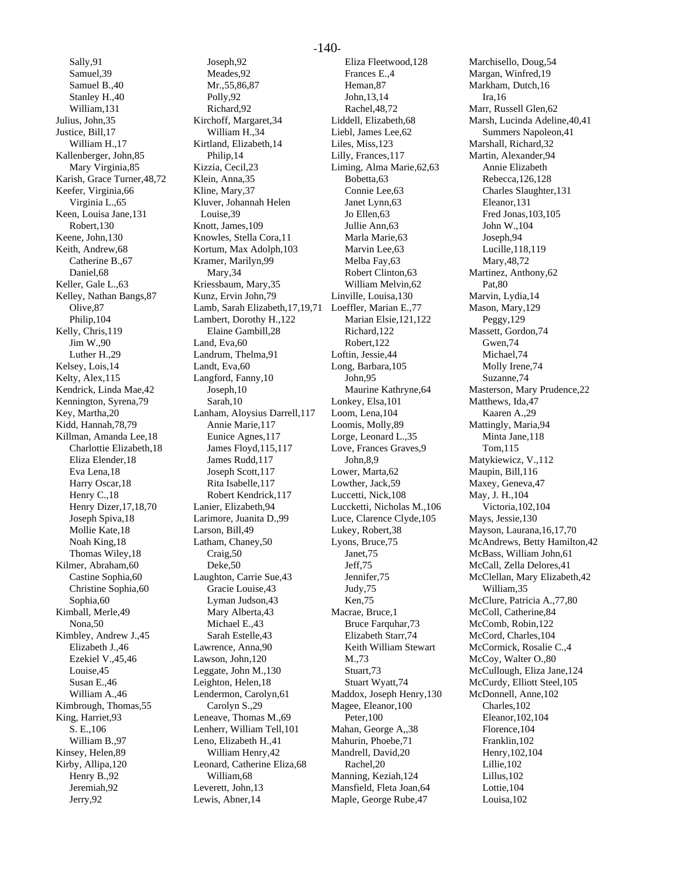Sally,91 Samuel,39 Samuel B.,40 Stanley H.,40 William,131 Julius, John,35 Justice, Bill,17 William H.,17 Kallenberger, John,85 Mary Virginia,85 Karish, Grace Turner,48,72 Keefer, Virginia,66 Virginia L.,65 Keen, Louisa Jane,131 Robert,130 Keene, John,130 Keith, Andrew,68 Catherine B.,67 Daniel,68 Keller, Gale L.,63 Kelley, Nathan Bangs,87 Olive,87 Philip,104 Kelly, Chris,119 Jim W.,90 Luther H.,29 Kelsey, Lois,14 Kelty, Alex,115 Kendrick, Linda Mae,42 Kennington, Syrena,79 Key, Martha,20 Kidd, Hannah,78,79 Killman, Amanda Lee,18 Charlottie Elizabeth,18 Eliza Elender,18 Eva Lena,18 Harry Oscar,18 Henry C., 18 Henry Dizer,17,18,70 Joseph Spiva,18 Mollie Kate,18 Noah King,18 Thomas Wiley,18 Kilmer, Abraham,60 Castine Sophia,60 Christine Sophia,60 Sophia,60 Kimball, Merle,49 Nona,50 Kimbley, Andrew J.,45 Elizabeth J.,46 Ezekiel V.,45,46 Louise,45 Susan E.,46 William A.,46 Kimbrough, Thomas,55 King, Harriet,93 S. E.,106 William B.,97 Kinsey, Helen,89 Kirby, Allipa,120 Henry B.,92 Jeremiah,92 Jerry,92

Joseph,92 Meades,92 Mr.,55,86,87 Polly,92 Richard,92 Kirchoff, Margaret,34 William H.,34 Kirtland, Elizabeth,14 Philip,14 Kizzia, Cecil,23 Klein, Anna,35 Kline, Mary,37 Kluver, Johannah Helen Louise,39 Knott, James,109 Knowles, Stella Cora,11 Kortum, Max Adolph,103 Kramer, Marilyn,99 Mary,34 Kriessbaum, Mary,35 Kunz, Ervin John,79 Lamb, Sarah Elizabeth,17,19,71 Loeffler, Marian E.,77 Lambert, Dorothy H.,122 Elaine Gambill,28 Land, Eva,60 Landrum, Thelma,91 Landt, Eva,60 Langford, Fanny,10 Joseph,10 Sarah,10 Lanham, Aloysius Darrell,117 Annie Marie,117 Eunice Agnes,117 James Floyd,115,117 James Rudd,117 Joseph Scott,117 Rita Isabelle,117 Robert Kendrick,117 Lanier, Elizabeth,94 Larimore, Juanita D.,99 Larson, Bill,49 Latham, Chaney,50 Craig,50 Deke,50 Laughton, Carrie Sue,43 Gracie Louise,43 Lyman Judson,43 Mary Alberta,43 Michael E.,43 Sarah Estelle,43 Lawrence, Anna,90 Lawson, John,120 Leggate, John M.,130 Leighton, Helen,18 Lendermon, Carolyn,61 Carolyn S.,29 Leneave, Thomas M.,69 Lenherr, William Tell,101 Leno, Elizabeth H.,41 William Henry,42 Leonard, Catherine Eliza,68 William,68 Leverett, John,13 Lewis, Abner,14

Eliza Fleetwood,128 Frances E.,4 Heman,87 John,13,14 Rachel,48,72 Liddell, Elizabeth,68 Liebl, James Lee,62 Liles, Miss,123 Lilly, Frances,117 Liming, Alma Marie,62,63 Bobetta,63 Connie Lee,63 Janet Lynn,63 Jo Ellen,63 Jullie Ann,63 Marla Marie,63 Marvin Lee,63 Melba Fay,63 Robert Clinton,63 William Melvin,62 Linville, Louisa,130 Marian Elsie,121,122 Richard,122 Robert,122 Loftin, Jessie,44 Long, Barbara,105 John,95 Maurine Kathryne,64 Lonkey, Elsa,101 Loom, Lena,104 Loomis, Molly,89 Lorge, Leonard L.,35 Love, Frances Graves,9 John,8,9 Lower, Marta,62 Lowther, Jack,59 Luccetti, Nick,108 Luccketti, Nicholas M.,106 Luce, Clarence Clyde,105 Lukey, Robert,38 Lyons, Bruce,75 Janet,75 Jeff,75 Jennifer,75 Judy,75 Ken,75 Macrae, Bruce,1 Bruce Farquhar,73 Elizabeth Starr,74 Keith William Stewart M.,73 Stuart,73 Stuart Wyatt,74 Maddox, Joseph Henry,130 Magee, Eleanor,100 Peter,100 Mahan, George A,,38 Mahurin, Phoebe,71 Mandrell, David,20 Rachel,20 Manning, Keziah,124 Mansfield, Fleta Joan,64 Maple, George Rube,47

Marchisello, Doug,54 Margan, Winfred,19 Markham, Dutch,16 Ira,16 Marr, Russell Glen,62 Marsh, Lucinda Adeline,40,41 Summers Napoleon,41 Marshall, Richard,32 Martin, Alexander,94 Annie Elizabeth Rebecca,126,128 Charles Slaughter,131 Eleanor,131 Fred Jonas,103,105 John W.,104 Joseph,94 Lucille,118,119 Mary,48,72 Martinez, Anthony,62 Pat,80 Marvin, Lydia,14 Mason, Mary,129 Peggy,129 Massett, Gordon,74 Gwen,74 Michael,74 Molly Irene,74 Suzanne,74 Masterson, Mary Prudence,22 Matthews, Ida,47 Kaaren A.,29 Mattingly, Maria,94 Minta Jane,118 Tom,115 Matykiewicz, V.,112 Maupin, Bill,116 Maxey, Geneva,47 May, J. H.,104 Victoria,102,104 Mays, Jessie,130 Mayson, Laurana,16,17,70 McAndrews, Betty Hamilton,42 McBass, William John,61 McCall, Zella Delores,41 McClellan, Mary Elizabeth,42 William,35 McClure, Patricia A.,77,80 McColl, Catherine,84 McComb, Robin,122 McCord, Charles,104 McCormick, Rosalie C.,4 McCoy, Walter O.,80 McCullough, Eliza Jane,124 McCurdy, Elliott Steel,105 McDonnell, Anne,102 Charles,102 Eleanor,102,104 Florence,104 Franklin,102 Henry,102,104 Lillie,102 Lillus,102 Lottie,104 Louisa,102

#### -140-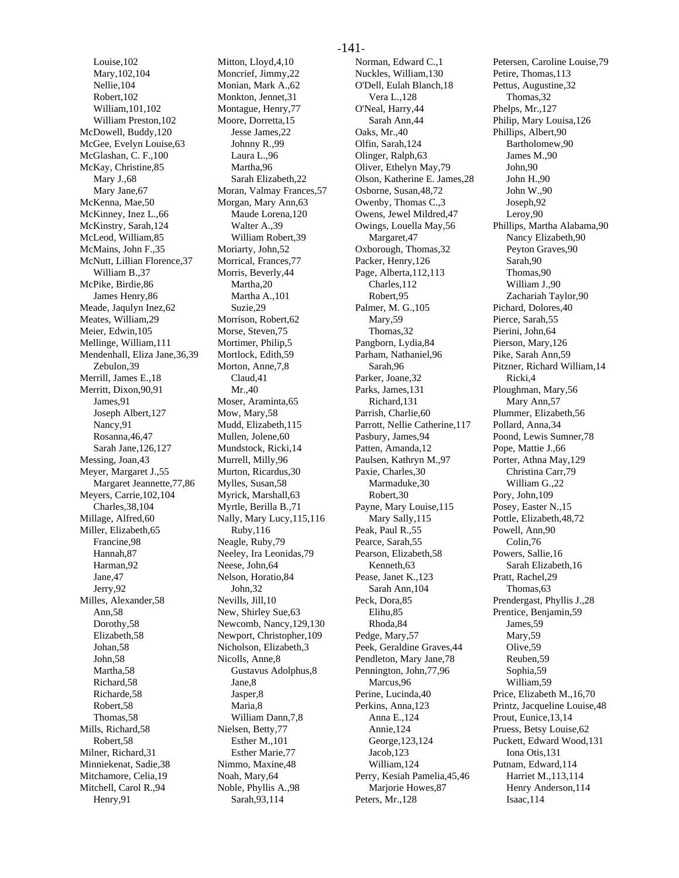Louise,102 Mary,102,104 Nellie,104 Robert,102 William,101,102 William Preston,102 McDowell, Buddy,120 McGee, Evelyn Louise,63 McGlashan, C. F.,100 McKay, Christine,85 Mary J.,68 Mary Jane,67 McKenna, Mae,50 McKinney, Inez L.,66 McKinstry, Sarah,124 McLeod, William,85 McMains, John F.,35 McNutt, Lillian Florence,37 William B.,37 McPike, Birdie,86 James Henry,86 Meade, Jaqulyn Inez,62 Meates, William,29 Meier, Edwin,105 Mellinge, William,111 Mendenhall, Eliza Jane,36,39 Zebulon,39 Merrill, James E.,18 Merritt, Dixon,90,91 James,91 Joseph Albert,127 Nancy,91 Rosanna,46,47 Sarah Jane,126,127 Messing, Joan,43 Meyer, Margaret J.,55 Margaret Jeannette,77,86 Meyers, Carrie,102,104 Charles,38,104 Millage, Alfred,60 Miller, Elizabeth,65 Francine,98 Hannah,87 Harman,92 Jane,47 Jerry,92 Milles, Alexander,58 Ann,58 Dorothy,58 Elizabeth,58 Johan,58 John,58 Martha,58 Richard,58 Richarde,58 Robert,58 Thomas,58 Mills, Richard,58 Robert,58 Milner, Richard,31 Minniekenat, Sadie,38 Mitchamore, Celia,19 Mitchell, Carol R.,94 Henry,91

Mitton, Lloyd,4,10 Moncrief, Jimmy,22 Monian, Mark A.,62 Monkton, Jennet,31 Montague, Henry,77 Moore, Dorretta,15 Jesse James,22 Johnny R.,99 Laura L.,96 Martha,96 Sarah Elizabeth,22 Moran, Valmay Frances,57 Morgan, Mary Ann,63 Maude Lorena,120 Walter A.,39 William Robert,39 Moriarty, John,52 Morrical, Frances,77 Morris, Beverly,44 Martha,20 Martha A.,101 Suzie,29 Morrison, Robert,62 Morse, Steven,75 Mortimer, Philip,5 Mortlock, Edith,59 Morton, Anne, 7,8 Claud,41 Mr.,40 Moser, Araminta,65 Mow, Mary,58 Mudd, Elizabeth,115 Mullen, Jolene,60 Mundstock, Ricki,14 Murrell, Milly,96 Murton, Ricardus,30 Mylles, Susan,58 Myrick, Marshall,63 Myrtle, Berilla B.,71 Nally, Mary Lucy,115,116 Ruby,116 Neagle, Ruby,79 Neeley, Ira Leonidas,79 Neese, John,64 Nelson, Horatio,84 John,32 Nevills, Jill,10 New, Shirley Sue,63 Newcomb, Nancy,129,130 Newport, Christopher,109 Nicholson, Elizabeth,3 Nicolls, Anne,8 Gustavus Adolphus,8 Jane,8 Jasper,8 Maria,8 William Dann,7,8 Nielsen, Betty,77 Esther M.,101 Esther Marie,77 Nimmo, Maxine,48 Noah, Mary,64 Noble, Phyllis A.,98 Sarah,93,114

Norman, Edward C.,1 Nuckles, William,130 O'Dell, Eulah Blanch,18 Vera L.,128 O'Neal, Harry,44 Sarah Ann,44 Oaks, Mr.,40 Olfin, Sarah,124 Olinger, Ralph,63 Oliver, Ethelyn May,79 Olson, Katherine E. James,28 Osborne, Susan,48,72 Owenby, Thomas C.,3 Owens, Jewel Mildred,47 Owings, Louella May,56 Margaret,47 Oxborough, Thomas,32 Packer, Henry,126 Page, Alberta,112,113 Charles,112 Robert,95 Palmer, M. G.,105 Mary,59 Thomas,32 Pangborn, Lydia,84 Parham, Nathaniel,96 Sarah,96 Parker, Joane,32 Parks, James,131 Richard,131 Parrish, Charlie,60 Parrott, Nellie Catherine,117 Pasbury, James,94 Patten, Amanda,12 Paulsen, Kathryn M.,97 Paxie, Charles,30 Marmaduke,30 Robert,30 Payne, Mary Louise,115 Mary Sally,115 Peak, Paul R.,55 Pearce, Sarah,55 Pearson, Elizabeth,58 Kenneth,63 Pease, Janet K.,123 Sarah Ann,104 Peck, Dora,85 Elihu,85 Rhoda,84 Pedge, Mary,57 Peek, Geraldine Graves,44 Pendleton, Mary Jane,78 Pennington, John,77,96 Marcus,96 Perine, Lucinda,40 Perkins, Anna,123 Anna E.,124 Annie,124 George,123,124 Jacob,123 William,124 Perry, Kesiah Pamelia,45,46 Marjorie Howes,87 Peters, Mr.,128

Petersen, Caroline Louise,79 Petire, Thomas,113 Pettus, Augustine,32 Thomas,32 Phelps, Mr.,127 Philip, Mary Louisa,126 Phillips, Albert,90 Bartholomew,90 James M.,90 John,90 John H.,90 John W.,90 Joseph,92 Leroy,90 Phillips, Martha Alabama,90 Nancy Elizabeth,90 Peyton Graves,90 Sarah,90 Thomas,90 William J.,90 Zachariah Taylor,90 Pichard, Dolores,40 Pierce, Sarah,55 Pierini, John,64 Pierson, Mary,126 Pike, Sarah Ann,59 Pitzner, Richard William,14 Ricki,4 Ploughman, Mary,56 Mary Ann,57 Plummer, Elizabeth,56 Pollard, Anna,34 Poond, Lewis Sumner,78 Pope, Mattie J.,66 Porter, Athna May,129 Christina Carr,79 William G.,22 Pory, John,109 Posey, Easter N.,15 Pottle, Elizabeth,48,72 Powell, Ann,90 Colin,76 Powers, Sallie,16 Sarah Elizabeth,16 Pratt, Rachel,29 Thomas,63 Prendergast, Phyllis J.,28 Prentice, Benjamin,59 James,59 Mary,59 Olive,59 Reuben,59 Sophia,59 William,59 Price, Elizabeth M.,16,70 Printz, Jacqueline Louise,48 Prout, Eunice,13,14 Pruess, Betsy Louise,62 Puckett, Edward Wood,131 Iona Otis,131 Putnam, Edward,114 Harriet M.,113,114 Henry Anderson,114 Isaac,114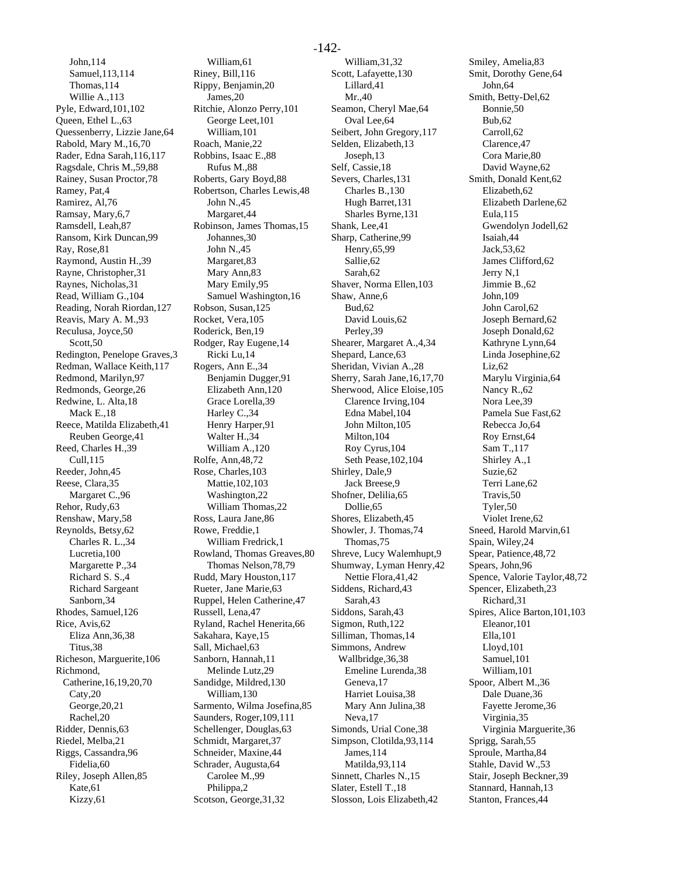John,114 Samuel,113,114 Thomas,114 Willie A.,113 Pyle, Edward,101,102 Queen, Ethel L.,63 Quessenberry, Lizzie Jane,64 Rabold, Mary M.,16,70 Rader, Edna Sarah,116,117 Ragsdale, Chris M.,59,88 Rainey, Susan Proctor,78 Ramey, Pat,4 Ramirez, Al,76 Ramsay, Mary,6,7 Ramsdell, Leah,87 Ransom, Kirk Duncan,99 Ray, Rose,81 Raymond, Austin H.,39 Rayne, Christopher,31 Raynes, Nicholas,31 Read, William G.,104 Reading, Norah Riordan,127 Reavis, Mary A. M.,93 Reculusa, Joyce,50 Scott,50 Redington, Penelope Graves,3 Redman, Wallace Keith,117 Redmond, Marilyn,97 Redmonds, George,26 Redwine, L. Alta,18 Mack E.,18 Reece, Matilda Elizabeth,41 Reuben George,41 Reed, Charles H.,39 Cull,115 Reeder, John,45 Reese, Clara,35 Margaret C.,96 Rehor, Rudy,63 Renshaw, Mary,58 Reynolds, Betsy,62 Charles R. L.,34 Lucretia,100 Margarette P.,34 Richard S. S.,4 Richard Sargeant Sanborn,34 Rhodes, Samuel,126 Rice, Avis,62 Eliza Ann,36,38 Titus,38 Richeson, Marguerite,106 Richmond, Catherine,16,19,20,70 Caty,20 George,20,21 Rachel,20 Ridder, Dennis,63 Riedel, Melba,21 Riggs, Cassandra,96 Fidelia,60 Riley, Joseph Allen,85 Kate,61 Kizzy,61

William,61 Riney, Bill,116 Rippy, Benjamin,20 James,20 Ritchie, Alonzo Perry,101 George Leet,101 William,101 Roach, Manie,22 Robbins, Isaac E.,88 Rufus M.,88 Roberts, Gary Boyd,88 Robertson, Charles Lewis,48 John N.,45 Margaret,44 Robinson, James Thomas,15 Johannes,30 John N.,45 Margaret,83 Mary Ann,83 Mary Emily,95 Samuel Washington,16 Robson, Susan,125 Rocket, Vera,105 Roderick, Ben,19 Rodger, Ray Eugene,14 Ricki Lu,14 Rogers, Ann E.,34 Benjamin Dugger,91 Elizabeth Ann,120 Grace Lorella,39 Harley C.,34 Henry Harper,91 Walter H.,34 William A.,120 Rolfe, Ann,48,72 Rose, Charles,103 Mattie,102,103 Washington,22 William Thomas,22 Ross, Laura Jane,86 Rowe, Freddie,1 William Fredrick,1 Rowland, Thomas Greaves,80 Thomas Nelson,78,79 Rudd, Mary Houston,117 Rueter, Jane Marie,63 Ruppel, Helen Catherine,47 Russell, Lena,47 Ryland, Rachel Henerita,66 Sakahara, Kaye,15 Sall, Michael,63 Sanborn, Hannah,11 Melinde Lutz,29 Sandidge, Mildred,130 William,130 Sarmento, Wilma Josefina,85 Saunders, Roger,109,111 Schellenger, Douglas,63 Schmidt, Margaret,37 Schneider, Maxine,44 Schrader, Augusta,64 Carolee M.,99 Philippa,2 Scotson, George,31,32

William,31,32 Scott, Lafayette,130 Lillard,41 Mr.,40 Seamon, Cheryl Mae,64 Oval Lee,64 Seibert, John Gregory,117 Selden, Elizabeth,13 Joseph,13 Self, Cassie,18 Severs, Charles,131 Charles B.,130 Hugh Barret,131 Sharles Byrne,131 Shank, Lee,41 Sharp, Catherine,99 Henry,65,99 Sallie,62 Sarah,62 Shaver, Norma Ellen,103 Shaw, Anne,6 Bud,62 David Louis,62 Perley,39 Shearer, Margaret A.,4,34 Shepard, Lance,63 Sheridan, Vivian A.,28 Sherry, Sarah Jane,16,17,70 Sherwood, Alice Eloise,105 Clarence Irving,104 Edna Mabel,104 John Milton,105 Milton,104 Roy Cyrus,104 Seth Pease,102,104 Shirley, Dale,9 Jack Breese,9 Shofner, Delilia,65 Dollie,65 Shores, Elizabeth,45 Showler, J. Thomas,74 Thomas,75 Shreve, Lucy Walemhupt,9 Shumway, Lyman Henry,42 Nettie Flora,41,42 Siddens, Richard,43 Sarah,43 Siddons, Sarah,43 Sigmon, Ruth,122 Silliman, Thomas,14 Simmons, Andrew Wallbridge,36,38 Emeline Lurenda,38 Geneva,17 Harriet Louisa,38 Mary Ann Julina,38 Neva,17 Simonds, Urial Cone,38 Simpson, Clotilda,93,114 James,114 Matilda,93,114 Sinnett, Charles N.,15 Slater, Estell T.,18 Slosson, Lois Elizabeth,42

Smiley, Amelia,83 Smit, Dorothy Gene,64 John,64 Smith, Betty-Del,62 Bonnie,50 Bub,62 Carroll,62 Clarence,47 Cora Marie,80 David Wayne,62 Smith, Donald Kent,62 Elizabeth,62 Elizabeth Darlene,62 Eula,115 Gwendolyn Jodell,62 Isaiah,44 Jack,53,62 James Clifford,62 Jerry N,1 Jimmie B.,62 John,109 John Carol,62 Joseph Bernard,62 Joseph Donald,62 Kathryne Lynn,64 Linda Josephine,62 Liz,62 Marylu Virginia,64 Nancy R.,62 Nora Lee,39 Pamela Sue Fast,62 Rebecca Jo,64 Roy Ernst,64 Sam T.,117 Shirley A.,1 Suzie,62 Terri Lane,62 Travis,50 Tyler,50 Violet Irene,62 Sneed, Harold Marvin,61 Spain, Wiley,24 Spear, Patience,48,72 Spears, John,96 Spence, Valorie Taylor,48,72 Spencer, Elizabeth,23 Richard,31 Spires, Alice Barton,101,103 Eleanor,101 Ella,101 Lloyd,101 Samuel,101 William,101 Spoor, Albert M.,36 Dale Duane,36 Fayette Jerome,36 Virginia,35 Virginia Marguerite,36 Sprigg, Sarah,55 Sproule, Martha,84 Stahle, David W.,53 Stair, Joseph Beckner,39 Stannard, Hannah,13 Stanton, Frances,44

#### -142-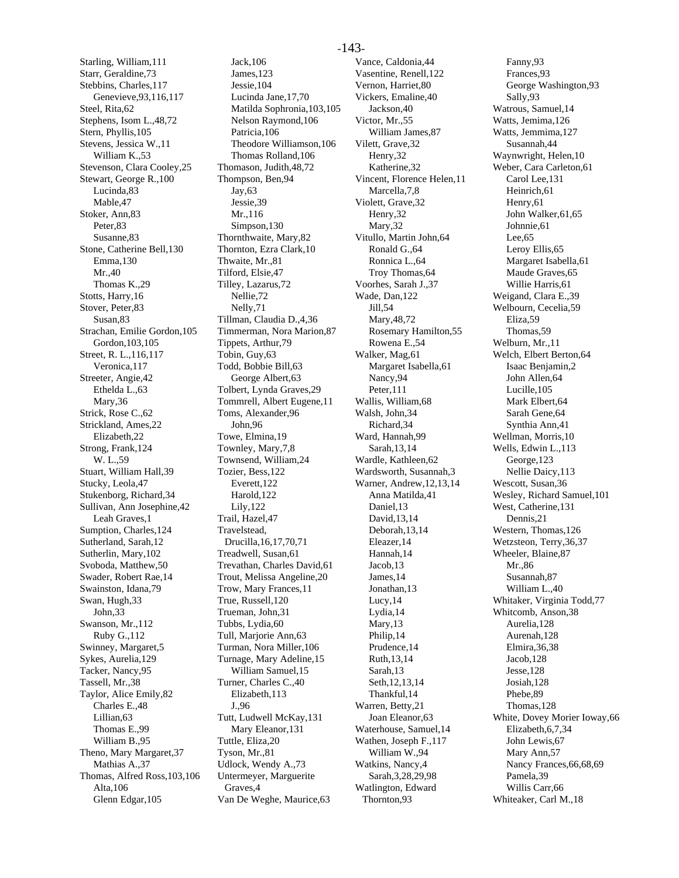Starling, William,111 Starr, Geraldine,73 Stebbins, Charles,117 Genevieve,93,116,117 Steel, Rita,62 Stephens, Isom L.,48,72 Stern, Phyllis,105 Stevens, Jessica W.,11 William K.,53 Stevenson, Clara Cooley,25 Stewart, George R.,100 Lucinda,83 Mable,47 Stoker, Ann,83 Peter,83 Susanne,83 Stone, Catherine Bell,130 Emma,130 Mr.,40 Thomas K.,29 Stotts, Harry,16 Stover, Peter,83 Susan,83 Strachan, Emilie Gordon,105 Gordon,103,105 Street, R. L.,116,117 Veronica,117 Streeter, Angie,42 Ethelda L.,63 Mary,36 Strick, Rose C.,62 Strickland, Ames,22 Elizabeth,22 Strong, Frank,124 W. L.,59 Stuart, William Hall,39 Stucky, Leola,47 Stukenborg, Richard,34 Sullivan, Ann Josephine,42 Leah Graves,1 Sumption, Charles,124 Sutherland, Sarah,12 Sutherlin, Mary,102 Svoboda, Matthew,50 Swader, Robert Rae,14 Swainston, Idana,79 Swan, Hugh,33 John,33 Swanson, Mr.,112 Ruby G.,112 Swinney, Margaret,5 Sykes, Aurelia,129 Tacker, Nancy,95 Tassell, Mr.,38 Taylor, Alice Emily,82 Charles E.,48 Lillian,63 Thomas E.,99 William B.,95 Theno, Mary Margaret,37 Mathias A.,37 Thomas, Alfred Ross,103,106 Alta,106 Glenn Edgar,105

Jack,106 James,123 Jessie,104 Lucinda Jane,17,70 Matilda Sophronia,103,105 Nelson Raymond,106 Patricia,106 Theodore Williamson,106 Thomas Rolland,106 Thomason, Judith,48,72 Thompson, Ben,94 Jay,63 Jessie,39 Mr.,116 Simpson,130 Thornthwaite, Mary,82 Thornton, Ezra Clark,10 Thwaite, Mr.,81 Tilford, Elsie,47 Tilley, Lazarus,72 Nellie,72 Nelly,71 Tillman, Claudia D.,4,36 Timmerman, Nora Marion,87 Tippets, Arthur,79 Tobin, Guy,63 Todd, Bobbie Bill,63 George Albert,63 Tolbert, Lynda Graves,29 Tommrell, Albert Eugene,11 Toms, Alexander,96 John,96 Towe, Elmina,19 Townley, Mary,7,8 Townsend, William,24 Tozier, Bess,122 Everett,122 Harold,122 Lily,122 Trail, Hazel,47 Travelstead, Drucilla,16,17,70,71 Treadwell, Susan,61 Trevathan, Charles David,61 Trout, Melissa Angeline,20 Trow, Mary Frances,11 True, Russell,120 Trueman, John,31 Tubbs, Lydia,60 Tull, Marjorie Ann,63 Turman, Nora Miller,106 Turnage, Mary Adeline,15 William Samuel,15 Turner, Charles C.,40 Elizabeth,113 J.,96 Tutt, Ludwell McKay,131 Mary Eleanor,131 Tuttle, Eliza,20 Tyson, Mr.,81 Udlock, Wendy A.,73 Untermeyer, Marguerite Graves,4 Van De Weghe, Maurice,63

Vance, Caldonia,44 Vasentine, Renell,122 Vernon, Harriet,80 Vickers, Emaline,40 Jackson,40 Victor, Mr.,55 William James,87 Vilett, Grave,32 Henry,32 Katherine,32 Vincent, Florence Helen,11 Marcella,7,8 Violett, Grave,32 Henry,32 Mary,32 Vitullo, Martin John,64 Ronald G.,64 Ronnica L.,64 Troy Thomas,64 Voorhes, Sarah J.,37 Wade, Dan,122 Jill,54 Mary,48,72 Rosemary Hamilton,55 Rowena E.,54 Walker, Mag,61 Margaret Isabella,61 Nancy,94 Peter,111 Wallis, William,68 Walsh, John,34 Richard,34 Ward, Hannah,99 Sarah,13,14 Wardle, Kathleen,62 Wardsworth, Susannah,3 Warner, Andrew,12,13,14 Anna Matilda,41 Daniel,13 David,13,14 Deborah,13,14 Eleazer,14 Hannah,14 Jacob,13 James,14 Jonathan,13 Lucy,14 Lydia,14 Mary,13 Philip,14 Prudence,14 Ruth,13,14 Sarah,13 Seth,12,13,14 Thankful,14 Warren, Betty,21 Joan Eleanor,63 Waterhouse, Samuel,14 Wathen, Joseph F.,117 William W.,94 Watkins, Nancy,4 Sarah,3,28,29,98 Watlington, Edward Thornton,93

Fanny,93 Frances,93 George Washington,93 Sally,93 Watrous, Samuel,14 Watts, Jemima,126 Watts, Jemmima,127 Susannah,44 Waynwright, Helen,10 Weber, Cara Carleton,61 Carol Lee,131 Heinrich,61 Henry,61 John Walker,61,65 Johnnie,61 Lee,65 Leroy Ellis,65 Margaret Isabella,61 Maude Graves,65 Willie Harris,61 Weigand, Clara E.,39 Welbourn, Cecelia,59 Eliza,59 Thomas,59 Welburn, Mr.,11 Welch, Elbert Berton,64 Isaac Benjamin,2 John Allen,64 Lucille,105 Mark Elbert,64 Sarah Gene,64 Synthia Ann,41 Wellman, Morris,10 Wells, Edwin L.,113 George,123 Nellie Daicy,113 Wescott, Susan,36 Wesley, Richard Samuel,101 West, Catherine,131 Dennis,21 Western, Thomas,126 Wetzsteon, Terry,36,37 Wheeler, Blaine,87 Mr.,86 Susannah,87 William L.,40 Whitaker, Virginia Todd,77 Whitcomb, Anson,38 Aurelia,128 Aurenah,128 Elmira,36,38 Jacob,128 Jesse,128 Josiah,128 Phebe,89 Thomas,128 White, Dovey Morier Ioway,66 Elizabeth,6,7,34 John Lewis,67 Mary Ann,57 Nancy Frances,66,68,69 Pamela,39 Willis Carr,66 Whiteaker, Carl M.,18

#### -143-